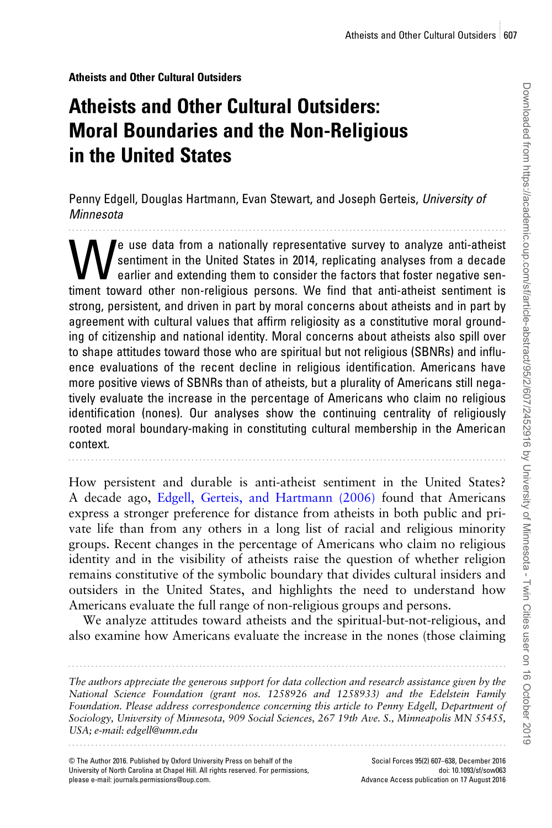# Atheists and Other Cultural Outsiders: Moral Boundaries and the Non-Religious in the United States

Penny Edgell, Douglas Hartmann, Evan Stewart, and Joseph Gerteis, University of Minnesota

.................................................................................................................. .................................................................................................................. We use data from a nationally representative survey to analyze anti-atheist<br>sentiment in the United States in 2014, replicating analyses from a decade<br>earlier and extending them to consider the factors that foster negative sentiment in the United States in 2014, replicating analyses from a decade earlier and extending them to consider the factors that foster negative sentiment toward other non-religious persons. We find that anti-atheist sentiment is strong, persistent, and driven in part by moral concerns about atheists and in part by agreement with cultural values that affirm religiosity as a constitutive moral grounding of citizenship and national identity. Moral concerns about atheists also spill over to shape attitudes toward those who are spiritual but not religious (SBNRs) and influence evaluations of the recent decline in religious identification. Americans have more positive views of SBNRs than of atheists, but a plurality of Americans still negatively evaluate the increase in the percentage of Americans who claim no religious identification (nones). Our analyses show the continuing centrality of religiously rooted moral boundary-making in constituting cultural membership in the American context.

How persistent and durable is anti-atheist sentiment in the United States? A decade ago, [Edgell, Gerteis, and Hartmann \(2006\)](#page-28-0) found that Americans express a stronger preference for distance from atheists in both public and private life than from any others in a long list of racial and religious minority groups. Recent changes in the percentage of Americans who claim no religious identity and in the visibility of atheists raise the question of whether religion remains constitutive of the symbolic boundary that divides cultural insiders and outsiders in the United States, and highlights the need to understand how Americans evaluate the full range of non-religious groups and persons.

We analyze attitudes toward atheists and the spiritual-but-not-religious, and also examine how Americans evaluate the increase in the nones (those claiming

..................................................................................................................

The authors appreciate the generous support for data collection and research assistance given by the National Science Foundation (grant nos. 1258926 and 1258933) and the Edelstein Family Foundation. Please address correspondence concerning this article to Penny Edgell, Department of Sociology, University of Minnesota, 909 Social Sciences, 267 19th Ave. S., Minneapolis MN 55455, USA; e-mail: edgell@umn.edu

..................................................................................................................

© The Author 2016. Published by Oxford University Press on behalf of the University of North Carolina at Chapel Hill. All rights reserved. For permissions, please e-mail: journals.permissions@oup.com.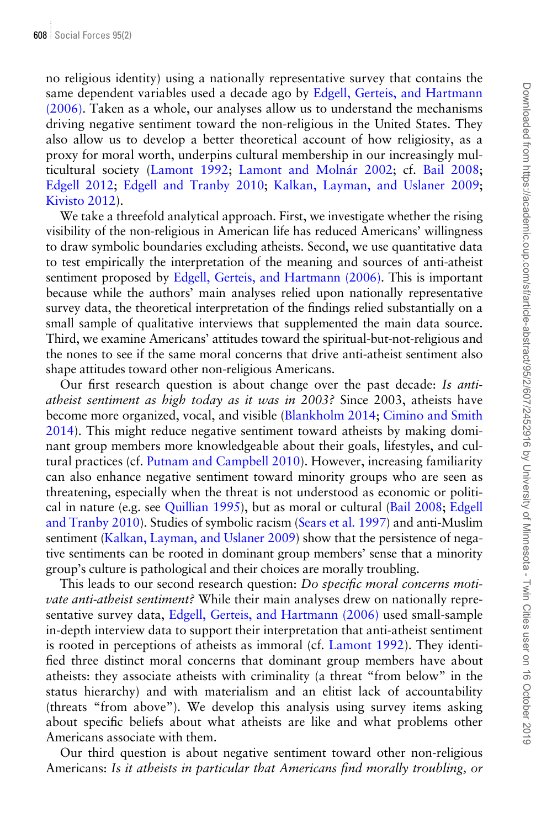no religious identity) using a nationally representative survey that contains the same dependent variables used a decade ago by [Edgell, Gerteis, and Hartmann](#page-28-0) [\(2006\)](#page-28-0). Taken as a whole, our analyses allow us to understand the mechanisms driving negative sentiment toward the non-religious in the United States. They also allow us to develop a better theoretical account of how religiosity, as a proxy for moral worth, underpins cultural membership in our increasingly multicultural society ([Lamont 1992;](#page-30-0) [Lamont and Molnár 2002](#page-30-0); cf. [Bail 2008](#page-27-0); [Edgell 2012](#page-28-0); [Edgell and Tranby 2010;](#page-29-0) [Kalkan, Layman, and Uslaner 2009](#page-30-0); [Kivisto 2012\)](#page-30-0).

We take a threefold analytical approach. First, we investigate whether the rising visibility of the non-religious in American life has reduced Americans' willingness to draw symbolic boundaries excluding atheists. Second, we use quantitative data to test empirically the interpretation of the meaning and sources of anti-atheist sentiment proposed by [Edgell, Gerteis, and Hartmann \(2006\).](#page-28-0) This is important because while the authors' main analyses relied upon nationally representative survey data, the theoretical interpretation of the findings relied substantially on a small sample of qualitative interviews that supplemented the main data source. Third, we examine Americans' attitudes toward the spiritual-but-not-religious and the nones to see if the same moral concerns that drive anti-atheist sentiment also shape attitudes toward other non-religious Americans.

Our first research question is about change over the past decade: Is antiatheist sentiment as high today as it was in 2003? Since 2003, atheists have become more organized, vocal, and visible ([Blankholm 2014](#page-28-0); [Cimino and Smith](#page-28-0) [2014\)](#page-28-0). This might reduce negative sentiment toward atheists by making dominant group members more knowledgeable about their goals, lifestyles, and cultural practices (cf. [Putnam and Campbell 2010\)](#page-30-0). However, increasing familiarity can also enhance negative sentiment toward minority groups who are seen as threatening, especially when the threat is not understood as economic or political in nature (e.g. see [Quillian 1995](#page-30-0)), but as moral or cultural [\(Bail 2008](#page-27-0); [Edgell](#page-29-0) [and Tranby 2010](#page-29-0)). Studies of symbolic racism ([Sears et al. 1997](#page-30-0)) and anti-Muslim sentiment ([Kalkan, Layman, and Uslaner 2009](#page-30-0)) show that the persistence of negative sentiments can be rooted in dominant group members' sense that a minority group's culture is pathological and their choices are morally troubling.

This leads to our second research question: Do specific moral concerns moti*vate anti-atheist sentiment?* While their main analyses drew on nationally repre-sentative survey data, [Edgell, Gerteis, and Hartmann \(2006\)](#page-28-0) used small-sample in-depth interview data to support their interpretation that anti-atheist sentiment is rooted in perceptions of atheists as immoral (cf. [Lamont 1992](#page-30-0)). They identified three distinct moral concerns that dominant group members have about atheists: they associate atheists with criminality (a threat "from below" in the status hierarchy) and with materialism and an elitist lack of accountability (threats "from above"). We develop this analysis using survey items asking about specific beliefs about what atheists are like and what problems other Americans associate with them.

Our third question is about negative sentiment toward other non-religious Americans: Is it atheists in particular that Americans find morally troubling, or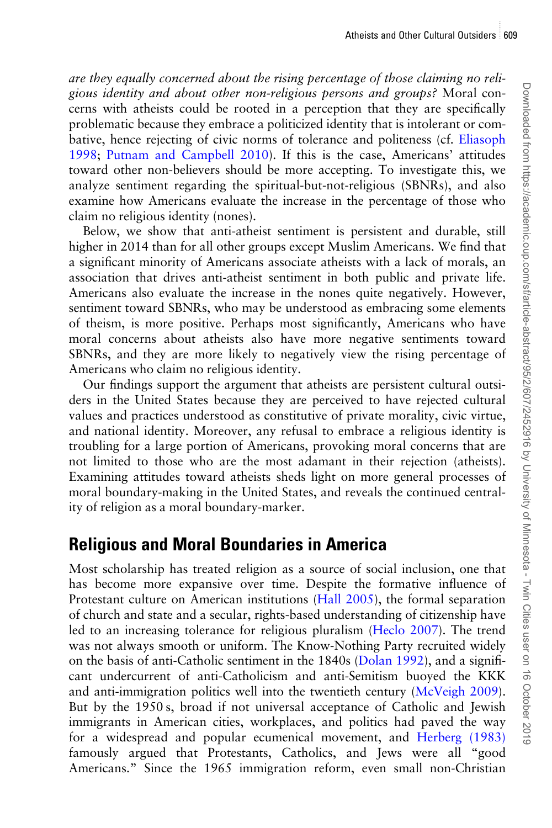are they equally concerned about the rising percentage of those claiming no religious identity and about other non-religious persons and groups? Moral concerns with atheists could be rooted in a perception that they are specifically problematic because they embrace a politicized identity that is intolerant or combative, hence rejecting of civic norms of tolerance and politeness (cf. [Eliasoph](#page-29-0) [1998;](#page-29-0) [Putnam and Campbell 2010](#page-30-0)). If this is the case, Americans' attitudes toward other non-believers should be more accepting. To investigate this, we analyze sentiment regarding the spiritual-but-not-religious (SBNRs), and also examine how Americans evaluate the increase in the percentage of those who claim no religious identity (nones).

Below, we show that anti-atheist sentiment is persistent and durable, still higher in 2014 than for all other groups except Muslim Americans. We find that a significant minority of Americans associate atheists with a lack of morals, an association that drives anti-atheist sentiment in both public and private life. Americans also evaluate the increase in the nones quite negatively. However, sentiment toward SBNRs, who may be understood as embracing some elements of theism, is more positive. Perhaps most significantly, Americans who have moral concerns about atheists also have more negative sentiments toward SBNRs, and they are more likely to negatively view the rising percentage of Americans who claim no religious identity.

Our findings support the argument that atheists are persistent cultural outsiders in the United States because they are perceived to have rejected cultural values and practices understood as constitutive of private morality, civic virtue, and national identity. Moreover, any refusal to embrace a religious identity is troubling for a large portion of Americans, provoking moral concerns that are not limited to those who are the most adamant in their rejection (atheists). Examining attitudes toward atheists sheds light on more general processes of moral boundary-making in the United States, and reveals the continued centrality of religion as a moral boundary-marker.

# Religious and Moral Boundaries in America

Most scholarship has treated religion as a source of social inclusion, one that has become more expansive over time. Despite the formative influence of Protestant culture on American institutions [\(Hall 2005\)](#page-29-0), the formal separation of church and state and a secular, rights-based understanding of citizenship have led to an increasing tolerance for religious pluralism ([Heclo 2007\)](#page-29-0). The trend was not always smooth or uniform. The Know-Nothing Party recruited widely on the basis of anti-Catholic sentiment in the 1840s ([Dolan 1992\)](#page-28-0), and a significant undercurrent of anti-Catholicism and anti-Semitism buoyed the KKK and anti-immigration politics well into the twentieth century ([McVeigh 2009\)](#page-30-0). But by the 1950 s, broad if not universal acceptance of Catholic and Jewish immigrants in American cities, workplaces, and politics had paved the way for a widespread and popular ecumenical movement, and [Herberg \(1983\)](#page-29-0) famously argued that Protestants, Catholics, and Jews were all "good Americans." Since the 1965 immigration reform, even small non-Christian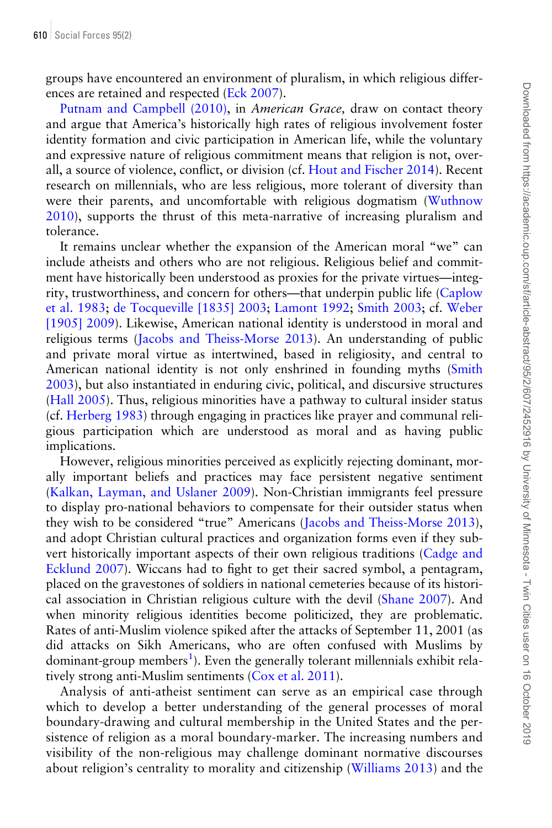groups have encountered an environment of pluralism, in which religious differences are retained and respected ([Eck 2007](#page-28-0)).

[Putnam and Campbell \(2010\),](#page-30-0) in American Grace, draw on contact theory and argue that America's historically high rates of religious involvement foster identity formation and civic participation in American life, while the voluntary and expressive nature of religious commitment means that religion is not, overall, a source of violence, conflict, or division (cf. [Hout and Fischer 2014](#page-29-0)). Recent research on millennials, who are less religious, more tolerant of diversity than were their parents, and uncomfortable with religious dogmatism ([Wuthnow](#page-31-0) [2010\)](#page-31-0), supports the thrust of this meta-narrative of increasing pluralism and tolerance.

It remains unclear whether the expansion of the American moral "we" can include atheists and others who are not religious. Religious belief and commitment have historically been understood as proxies for the private virtues—integrity, trustworthiness, and concern for others—that underpin public life [\(Caplow](#page-28-0) [et al. 1983;](#page-28-0) [de Tocqueville \[1835\] 2003;](#page-28-0) [Lamont 1992;](#page-30-0) [Smith 2003](#page-31-0); cf. [Weber](#page-31-0) [\[1905\] 2009\)](#page-31-0). Likewise, American national identity is understood in moral and religious terms ([Jacobs and Theiss-Morse 2013](#page-30-0)). An understanding of public and private moral virtue as intertwined, based in religiosity, and central to American national identity is not only enshrined in founding myths [\(Smith](#page-31-0) [2003\)](#page-31-0), but also instantiated in enduring civic, political, and discursive structures [\(Hall 2005\)](#page-29-0). Thus, religious minorities have a pathway to cultural insider status (cf. [Herberg 1983](#page-29-0)) through engaging in practices like prayer and communal religious participation which are understood as moral and as having public implications.

However, religious minorities perceived as explicitly rejecting dominant, morally important beliefs and practices may face persistent negative sentiment [\(Kalkan, Layman, and Uslaner 2009](#page-30-0)). Non-Christian immigrants feel pressure to display pro-national behaviors to compensate for their outsider status when they wish to be considered "true" Americans ([Jacobs and Theiss-Morse 2013\)](#page-30-0), and adopt Christian cultural practices and organization forms even if they subvert historically important aspects of their own religious traditions [\(Cadge and](#page-28-0) [Ecklund 2007\)](#page-28-0). Wiccans had to fight to get their sacred symbol, a pentagram, placed on the gravestones of soldiers in national cemeteries because of its historical association in Christian religious culture with the devil ([Shane 2007\)](#page-30-0). And when minority religious identities become politicized, they are problematic. Rates of anti-Muslim violence spiked after the attacks of September 11, 2001 (as did attacks on Sikh Americans, who are often confused with Muslims by dominant-group members<sup>1</sup>). Even the generally tolerant millennials exhibit relatively strong anti-Muslim sentiments ([Cox et al. 2011\)](#page-28-0).

Analysis of anti-atheist sentiment can serve as an empirical case through which to develop a better understanding of the general processes of moral boundary-drawing and cultural membership in the United States and the persistence of religion as a moral boundary-marker. The increasing numbers and visibility of the non-religious may challenge dominant normative discourses about religion's centrality to morality and citizenship ([Williams 2013\)](#page-31-0) and the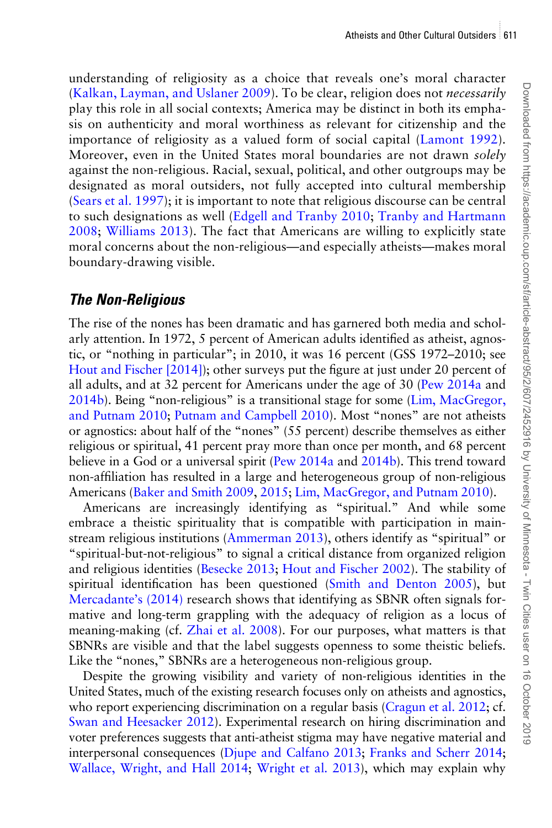understanding of religiosity as a choice that reveals one's moral character [\(Kalkan, Layman, and Uslaner 2009\)](#page-30-0). To be clear, religion does not necessarily play this role in all social contexts; America may be distinct in both its emphasis on authenticity and moral worthiness as relevant for citizenship and the importance of religiosity as a valued form of social capital ([Lamont 1992\)](#page-30-0). Moreover, even in the United States moral boundaries are not drawn solely against the non-religious. Racial, sexual, political, and other outgroups may be designated as moral outsiders, not fully accepted into cultural membership [\(Sears et al. 1997](#page-30-0)); it is important to note that religious discourse can be central to such designations as well [\(Edgell and Tranby 2010;](#page-29-0) [Tranby and Hartmann](#page-31-0) [2008](#page-31-0); [Williams 2013\)](#page-31-0). The fact that Americans are willing to explicitly state moral concerns about the non-religious—and especially atheists—makes moral boundary-drawing visible.

### The Non-Religious

The rise of the nones has been dramatic and has garnered both media and scholarly attention. In 1972, 5 percent of American adults identified as atheist, agnostic, or "nothing in particular"; in 2010, it was 16 percent (GSS 1972–2010; see [Hout and Fischer \[2014\]](#page-29-0)); other surveys put the figure at just under 20 percent of all adults, and at 32 percent for Americans under the age of 30 [\(Pew 2014a](#page-30-0) and [2014b](#page-30-0)). Being "non-religious" is a transitional stage for some [\(Lim, MacGregor,](#page-30-0) [and Putnam 2010;](#page-30-0) [Putnam and Campbell 2010\)](#page-30-0). Most "nones" are not atheists or agnostics: about half of the "nones" (55 percent) describe themselves as either religious or spiritual, 41 percent pray more than once per month, and 68 percent believe in a God or a universal spirit [\(Pew 2014a](#page-30-0) and [2014b](#page-30-0)). This trend toward non-affiliation has resulted in a large and heterogeneous group of non-religious Americans [\(Baker and Smith 2009,](#page-27-0) [2015;](#page-27-0) [Lim, MacGregor, and Putnam 2010\)](#page-30-0).

Americans are increasingly identifying as "spiritual." And while some embrace a theistic spirituality that is compatible with participation in mainstream religious institutions ([Ammerman 2013](#page-27-0)), others identify as "spiritual" or "spiritual-but-not-religious" to signal a critical distance from organized religion and religious identities [\(Besecke 2013](#page-28-0); [Hout and Fischer 2002](#page-29-0)). The stability of spiritual identification has been questioned ([Smith and Denton 2005\)](#page-31-0), but [Mercadante](#page-30-0)'s (2014) research shows that identifying as SBNR often signals formative and long-term grappling with the adequacy of religion as a locus of meaning-making (cf. [Zhai et al. 2008](#page-31-0)). For our purposes, what matters is that SBNRs are visible and that the label suggests openness to some theistic beliefs. Like the "nones," SBNRs are a heterogeneous non-religious group.

Despite the growing visibility and variety of non-religious identities in the United States, much of the existing research focuses only on atheists and agnostics, who report experiencing discrimination on a regular basis ([Cragun et al. 2012](#page-28-0); cf. [Swan and Heesacker 2012\)](#page-31-0). Experimental research on hiring discrimination and voter preferences suggests that anti-atheist stigma may have negative material and interpersonal consequences [\(Djupe and Calfano 2013;](#page-28-0) [Franks and Scherr 2014](#page-29-0); [Wallace, Wright, and Hall 2014](#page-31-0); [Wright et al. 2013\)](#page-31-0), which may explain why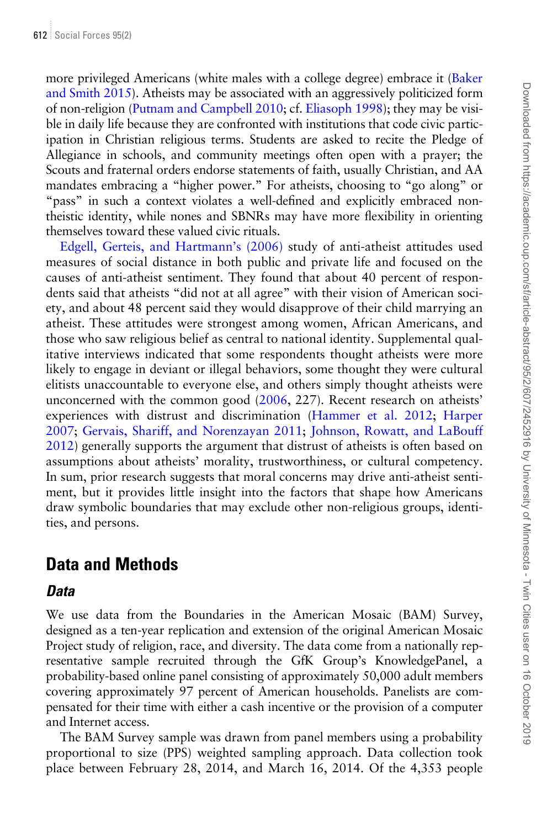more privileged Americans (white males with a college degree) embrace it [\(Baker](#page-27-0) [and Smith 2015\)](#page-27-0). Atheists may be associated with an aggressively politicized form of non-religion ([Putnam and Campbell 2010;](#page-30-0) cf. [Eliasoph 1998\)](#page-29-0); they may be visible in daily life because they are confronted with institutions that code civic participation in Christian religious terms. Students are asked to recite the Pledge of Allegiance in schools, and community meetings often open with a prayer; the Scouts and fraternal orders endorse statements of faith, usually Christian, and AA mandates embracing a "higher power." For atheists, choosing to "go along" or "pass" in such a context violates a well-defined and explicitly embraced nontheistic identity, while nones and SBNRs may have more flexibility in orienting themselves toward these valued civic rituals.

[Edgell, Gerteis, and Hartmann](#page-28-0)'s (2006) study of anti-atheist attitudes used measures of social distance in both public and private life and focused on the causes of anti-atheist sentiment. They found that about 40 percent of respondents said that atheists "did not at all agree" with their vision of American society, and about 48 percent said they would disapprove of their child marrying an atheist. These attitudes were strongest among women, African Americans, and those who saw religious belief as central to national identity. Supplemental qualitative interviews indicated that some respondents thought atheists were more likely to engage in deviant or illegal behaviors, some thought they were cultural elitists unaccountable to everyone else, and others simply thought atheists were unconcerned with the common good ([2006,](#page-28-0) 227). Recent research on atheists' experiences with distrust and discrimination [\(Hammer et al. 2012;](#page-29-0) [Harper](#page-29-0) [2007;](#page-29-0) [Gervais, Shariff, and Norenzayan 2011;](#page-29-0) [Johnson, Rowatt, and LaBouff](#page-30-0) [2012\)](#page-30-0) generally supports the argument that distrust of atheists is often based on assumptions about atheists' morality, trustworthiness, or cultural competency. In sum, prior research suggests that moral concerns may drive anti-atheist sentiment, but it provides little insight into the factors that shape how Americans draw symbolic boundaries that may exclude other non-religious groups, identities, and persons.

# Data and Methods

# **Data**

We use data from the Boundaries in the American Mosaic (BAM) Survey, designed as a ten-year replication and extension of the original American Mosaic Project study of religion, race, and diversity. The data come from a nationally representative sample recruited through the GfK Group's KnowledgePanel, a probability-based online panel consisting of approximately 50,000 adult members covering approximately 97 percent of American households. Panelists are compensated for their time with either a cash incentive or the provision of a computer and Internet access.

The BAM Survey sample was drawn from panel members using a probability proportional to size (PPS) weighted sampling approach. Data collection took place between February 28, 2014, and March 16, 2014. Of the 4,353 people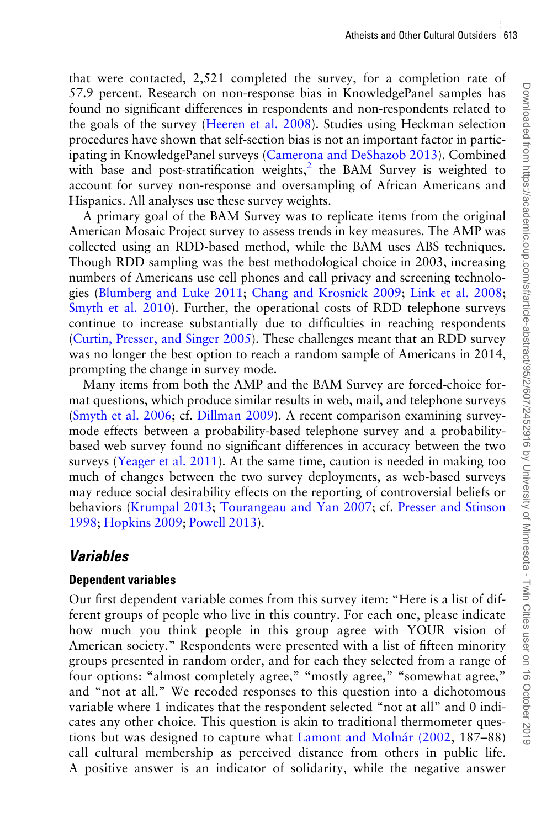that were contacted, 2,521 completed the survey, for a completion rate of 57.9 percent. Research on non-response bias in KnowledgePanel samples has found no significant differences in respondents and non-respondents related to the goals of the survey [\(Heeren et al. 2008\)](#page-29-0). Studies using Heckman selection procedures have shown that self-section bias is not an important factor in participating in KnowledgePanel surveys [\(Camerona and DeShazob 2013\)](#page-28-0). Combined with base and post-stratification weights, $<sup>2</sup>$  the BAM Survey is weighted to</sup> account for survey non-response and oversampling of African Americans and Hispanics. All analyses use these survey weights.

A primary goal of the BAM Survey was to replicate items from the original American Mosaic Project survey to assess trends in key measures. The AMP was collected using an RDD-based method, while the BAM uses ABS techniques. Though RDD sampling was the best methodological choice in 2003, increasing numbers of Americans use cell phones and call privacy and screening technologies [\(Blumberg and Luke 2011](#page-28-0); [Chang and Krosnick 2009](#page-28-0); [Link et al. 2008](#page-30-0); [Smyth et al. 2010\)](#page-31-0). Further, the operational costs of RDD telephone surveys continue to increase substantially due to difficulties in reaching respondents [\(Curtin, Presser, and Singer 2005\)](#page-28-0). These challenges meant that an RDD survey was no longer the best option to reach a random sample of Americans in 2014, prompting the change in survey mode.

Many items from both the AMP and the BAM Survey are forced-choice format questions, which produce similar results in web, mail, and telephone surveys [\(Smyth et al. 2006](#page-31-0); cf. [Dillman 2009](#page-28-0)). A recent comparison examining surveymode effects between a probability-based telephone survey and a probabilitybased web survey found no significant differences in accuracy between the two surveys ([Yeager et al. 2011\)](#page-31-0). At the same time, caution is needed in making too much of changes between the two survey deployments, as web-based surveys may reduce social desirability effects on the reporting of controversial beliefs or behaviors [\(Krumpal 2013;](#page-30-0) [Tourangeau and Yan 2007](#page-31-0); cf. [Presser and Stinson](#page-30-0) [1998;](#page-30-0) [Hopkins 2009;](#page-29-0) [Powell 2013](#page-30-0)).

# Variables

### Dependent variables

Our first dependent variable comes from this survey item: "Here is a list of different groups of people who live in this country. For each one, please indicate how much you think people in this group agree with YOUR vision of American society." Respondents were presented with a list of fifteen minority groups presented in random order, and for each they selected from a range of four options: "almost completely agree," "mostly agree," "somewhat agree," and "not at all." We recoded responses to this question into a dichotomous variable where 1 indicates that the respondent selected "not at all" and 0 indicates any other choice. This question is akin to traditional thermometer questions but was designed to capture what [Lamont and Molnár \(2002](#page-30-0), 187–88) call cultural membership as perceived distance from others in public life. A positive answer is an indicator of solidarity, while the negative answer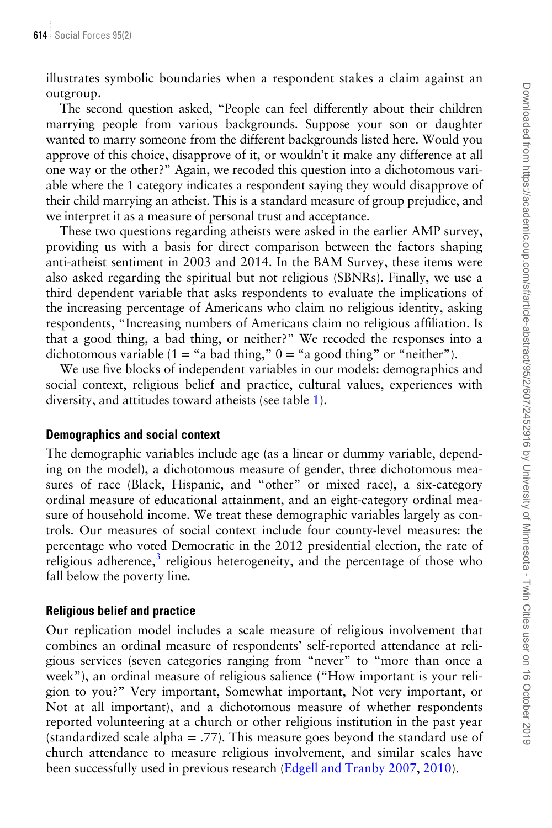illustrates symbolic boundaries when a respondent stakes a claim against an outgroup.

The second question asked, "People can feel differently about their children marrying people from various backgrounds. Suppose your son or daughter wanted to marry someone from the different backgrounds listed here. Would you approve of this choice, disapprove of it, or wouldn't it make any difference at all one way or the other?" Again, we recoded this question into a dichotomous variable where the 1 category indicates a respondent saying they would disapprove of their child marrying an atheist. This is a standard measure of group prejudice, and we interpret it as a measure of personal trust and acceptance.

These two questions regarding atheists were asked in the earlier AMP survey, providing us with a basis for direct comparison between the factors shaping anti-atheist sentiment in 2003 and 2014. In the BAM Survey, these items were also asked regarding the spiritual but not religious (SBNRs). Finally, we use a third dependent variable that asks respondents to evaluate the implications of the increasing percentage of Americans who claim no religious identity, asking respondents, "Increasing numbers of Americans claim no religious affiliation. Is that a good thing, a bad thing, or neither?" We recoded the responses into a dichotomous variable  $(1 = "a bad thing," 0 = "a good thing" or "neither").$ 

We use five blocks of independent variables in our models: demographics and social context, religious belief and practice, cultural values, experiences with diversity, and attitudes toward atheists (see table [1](#page-8-0)).

#### Demographics and social context

The demographic variables include age (as a linear or dummy variable, depending on the model), a dichotomous measure of gender, three dichotomous measures of race (Black, Hispanic, and "other" or mixed race), a six-category ordinal measure of educational attainment, and an eight-category ordinal measure of household income. We treat these demographic variables largely as controls. Our measures of social context include four county-level measures: the percentage who voted Democratic in the 2012 presidential election, the rate of religious adherence, $3$  religious heterogeneity, and the percentage of those who fall below the poverty line.

#### Religious belief and practice

Our replication model includes a scale measure of religious involvement that combines an ordinal measure of respondents' self-reported attendance at religious services (seven categories ranging from "never" to "more than once a week"), an ordinal measure of religious salience ("How important is your religion to you?" Very important, Somewhat important, Not very important, or Not at all important), and a dichotomous measure of whether respondents reported volunteering at a church or other religious institution in the past year (standardized scale alpha = .77). This measure goes beyond the standard use of church attendance to measure religious involvement, and similar scales have been successfully used in previous research [\(Edgell and Tranby 2007,](#page-29-0) [2010](#page-29-0)).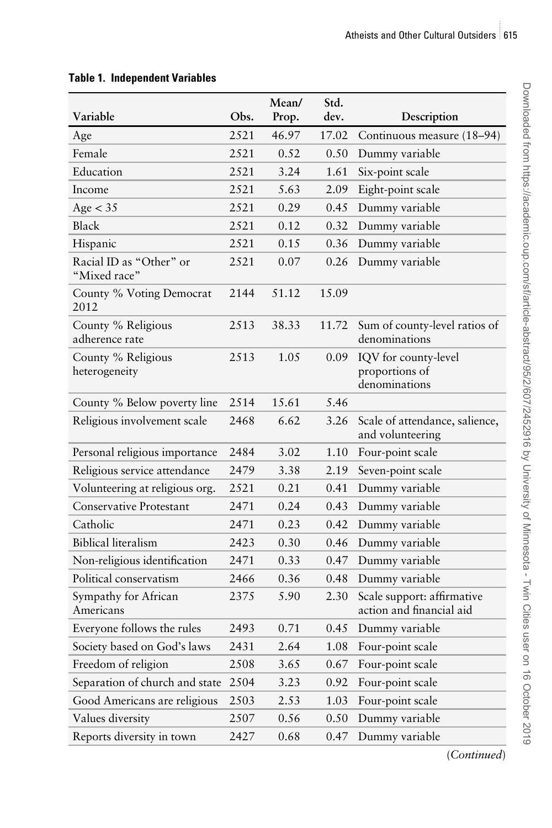| Variable                                | Obs. | Mean/<br>Prop. | Std.<br>dev. | Description                                             |
|-----------------------------------------|------|----------------|--------------|---------------------------------------------------------|
| Age                                     | 2521 | 46.97          | 17.02        | Continuous measure (18–94)                              |
| Female                                  | 2521 | 0.52           | 0.50         | Dummy variable                                          |
| Education                               | 2521 | 3.24           | 1.61         | Six-point scale                                         |
| Income                                  | 2521 | 5.63           | 2.09         | Eight-point scale                                       |
| Age < 35                                | 2521 | 0.29           | 0.45         | Dummy variable                                          |
| Black                                   | 2521 | 0.12           | 0.32         | Dummy variable                                          |
| Hispanic                                | 2521 | 0.15           | 0.36         | Dummy variable                                          |
| Racial ID as "Other" or<br>"Mixed race" | 2521 | 0.07           | 0.26         | Dummy variable                                          |
| County % Voting Democrat<br>2012        | 2144 | 51.12          | 15.09        |                                                         |
| County % Religious<br>adherence rate    | 2513 | 38.33          | 11.72        | Sum of county-level ratios of<br>denominations          |
| County % Religious<br>heterogeneity     | 2513 | 1.05           | 0.09         | IQV for county-level<br>proportions of<br>denominations |
| County % Below poverty line             | 2514 | 15.61          | 5.46         |                                                         |
| Religious involvement scale             | 2468 | 6.62           | 3.26         | Scale of attendance, salience,<br>and volunteering      |
| Personal religious importance           | 2484 | 3.02           | 1.10         | Four-point scale                                        |
| Religious service attendance            | 2479 | 3.38           | 2.19         | Seven-point scale                                       |
| Volunteering at religious org.          | 2521 | 0.21           | 0.41         | Dummy variable                                          |
| <b>Conservative Protestant</b>          | 2471 | 0.24           | 0.43         | Dummy variable                                          |
| Catholic                                | 2471 | 0.23           | 0.42         | Dummy variable                                          |
| Biblical literalism                     | 2423 | 0.30           | 0.46         | Dummy variable                                          |
| Non-religious identification            | 2471 | 0.33           | 0.47         | Dummy variable                                          |
| Political conservatism                  | 2466 | 0.36           | 0.48         | Dummy variable                                          |
| Sympathy for African<br>Americans       | 2375 | 5.90           | 2.30         | Scale support: affirmative<br>action and financial aid  |
| Everyone follows the rules              | 2493 | 0.71           | 0.45         | Dummy variable                                          |
| Society based on God's laws             | 2431 | 2.64           | 1.08         | Four-point scale                                        |
| Freedom of religion                     | 2508 | 3.65           | 0.67         | Four-point scale                                        |
| Separation of church and state          | 2504 | 3.23           | 0.92         | Four-point scale                                        |
| Good Americans are religious            | 2503 | 2.53           | 1.03         | Four-point scale                                        |
| Values diversity                        | 2507 | 0.56           | 0.50         | Dummy variable                                          |
| Reports diversity in town               | 2427 | 0.68           | 0.47         | Dummy variable                                          |

### <span id="page-8-0"></span>Table 1. Independent Variables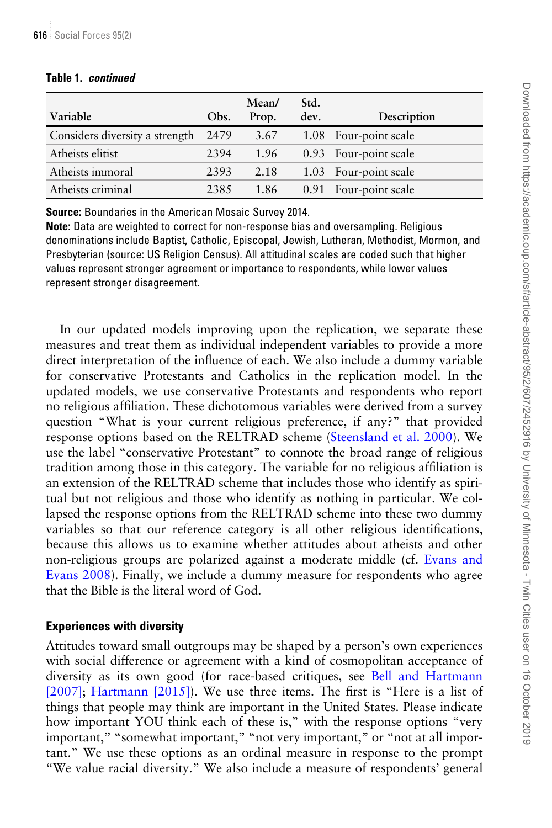| Variable                            | Obs. | Mean/<br>Prop. | Std.<br>dev. | Description           |
|-------------------------------------|------|----------------|--------------|-----------------------|
| Considers diversity a strength 2479 |      | 3.67           |              | 1.08 Four-point scale |
| Atheists elitist                    | 2394 | 1.96           |              | 0.93 Four-point scale |
| Atheists immoral                    | 2393 | 2.18           |              | 1.03 Four-point scale |
| Atheists criminal                   | 2385 | 1.86           | 0.91         | Four-point scale      |

#### Table 1. continued

Source: Boundaries in the American Mosaic Survey 2014.

Note: Data are weighted to correct for non-response bias and oversampling. Religious denominations include Baptist, Catholic, Episcopal, Jewish, Lutheran, Methodist, Mormon, and Presbyterian (source: US Religion Census). All attitudinal scales are coded such that higher values represent stronger agreement or importance to respondents, while lower values represent stronger disagreement.

In our updated models improving upon the replication, we separate these measures and treat them as individual independent variables to provide a more direct interpretation of the influence of each. We also include a dummy variable for conservative Protestants and Catholics in the replication model. In the updated models, we use conservative Protestants and respondents who report no religious affiliation. These dichotomous variables were derived from a survey question "What is your current religious preference, if any?" that provided response options based on the RELTRAD scheme ([Steensland et al. 2000](#page-31-0)). We use the label "conservative Protestant" to connote the broad range of religious tradition among those in this category. The variable for no religious affiliation is an extension of the RELTRAD scheme that includes those who identify as spiritual but not religious and those who identify as nothing in particular. We collapsed the response options from the RELTRAD scheme into these two dummy variables so that our reference category is all other religious identifications, because this allows us to examine whether attitudes about atheists and other non-religious groups are polarized against a moderate middle (cf. [Evans and](#page-29-0) [Evans 2008\)](#page-29-0). Finally, we include a dummy measure for respondents who agree that the Bible is the literal word of God.

#### Experiences with diversity

Attitudes toward small outgroups may be shaped by a person's own experiences with social difference or agreement with a kind of cosmopolitan acceptance of diversity as its own good (for race-based critiques, see [Bell and Hartmann](#page-28-0) [\[2007\]](#page-28-0); [Hartmann \[2015\]\)](#page-29-0). We use three items. The first is "Here is a list of things that people may think are important in the United States. Please indicate how important YOU think each of these is," with the response options "very important," "somewhat important," "not very important," or "not at all important." We use these options as an ordinal measure in response to the prompt "We value racial diversity." We also include a measure of respondents' general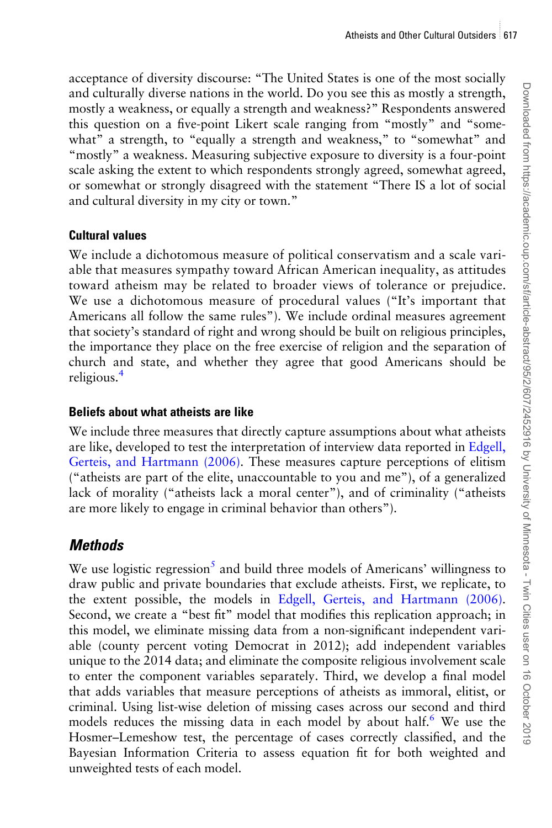acceptance of diversity discourse: "The United States is one of the most socially and culturally diverse nations in the world. Do you see this as mostly a strength, mostly a weakness, or equally a strength and weakness?" Respondents answered this question on a five-point Likert scale ranging from "mostly" and "somewhat" a strength, to "equally a strength and weakness," to "somewhat" and "mostly" a weakness. Measuring subjective exposure to diversity is a four-point scale asking the extent to which respondents strongly agreed, somewhat agreed, or somewhat or strongly disagreed with the statement "There IS a lot of social and cultural diversity in my city or town."

### Cultural values

We include a dichotomous measure of political conservatism and a scale variable that measures sympathy toward African American inequality, as attitudes toward atheism may be related to broader views of tolerance or prejudice. We use a dichotomous measure of procedural values ("It's important that Americans all follow the same rules"). We include ordinal measures agreement that society's standard of right and wrong should be built on religious principles, the importance they place on the free exercise of religion and the separation of church and state, and whether they agree that good Americans should be religious.<sup>4</sup>

### Beliefs about what atheists are like

We include three measures that directly capture assumptions about what atheists are like, developed to test the interpretation of interview data reported in [Edgell,](#page-28-0) [Gerteis, and Hartmann \(2006\).](#page-28-0) These measures capture perceptions of elitism ("atheists are part of the elite, unaccountable to you and me"), of a generalized lack of morality ("atheists lack a moral center"), and of criminality ("atheists are more likely to engage in criminal behavior than others").

# Methods

We use logistic regression<sup>5</sup> and build three models of Americans' willingness to draw public and private boundaries that exclude atheists. First, we replicate, to the extent possible, the models in [Edgell, Gerteis, and Hartmann \(2006\)](#page-28-0). Second, we create a "best fit" model that modifies this replication approach; in this model, we eliminate missing data from a non-significant independent variable (county percent voting Democrat in 2012); add independent variables unique to the 2014 data; and eliminate the composite religious involvement scale to enter the component variables separately. Third, we develop a final model that adds variables that measure perceptions of atheists as immoral, elitist, or criminal. Using list-wise deletion of missing cases across our second and third models reduces the missing data in each model by about half.<sup>6</sup> We use the Hosmer–Lemeshow test, the percentage of cases correctly classified, and the Bayesian Information Criteria to assess equation fit for both weighted and unweighted tests of each model.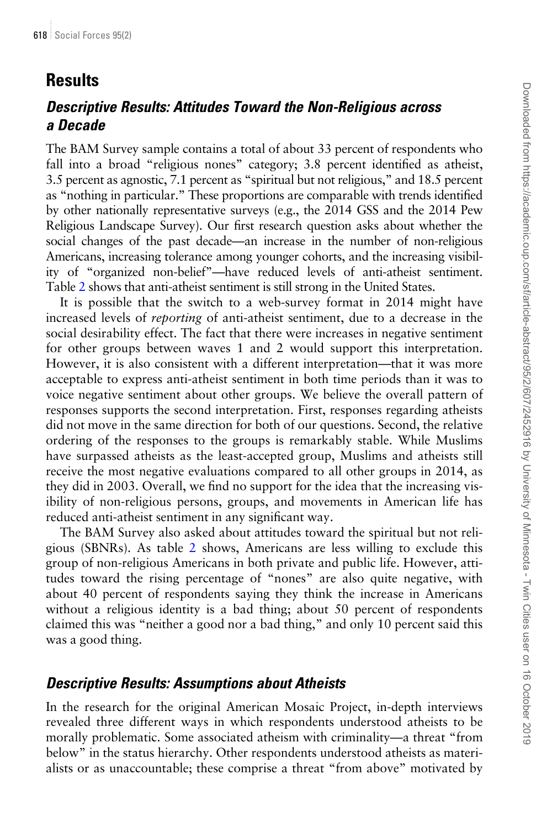# **Results**

## Descriptive Results: Attitudes Toward the Non-Religious across a Decade

The BAM Survey sample contains a total of about 33 percent of respondents who fall into a broad "religious nones" category; 3.8 percent identified as atheist, 3.5 percent as agnostic, 7.1 percent as "spiritual but not religious," and 18.5 percent as "nothing in particular." These proportions are comparable with trends identified by other nationally representative surveys (e.g., the 2014 GSS and the 2014 Pew Religious Landscape Survey). Our first research question asks about whether the social changes of the past decade—an increase in the number of non-religious Americans, increasing tolerance among younger cohorts, and the increasing visibility of "organized non-belief"—have reduced levels of anti-atheist sentiment. Table [2](#page-12-0) shows that anti-atheist sentiment is still strong in the United States.

It is possible that the switch to a web-survey format in 2014 might have increased levels of reporting of anti-atheist sentiment, due to a decrease in the social desirability effect. The fact that there were increases in negative sentiment for other groups between waves 1 and 2 would support this interpretation. However, it is also consistent with a different interpretation—that it was more acceptable to express anti-atheist sentiment in both time periods than it was to voice negative sentiment about other groups. We believe the overall pattern of responses supports the second interpretation. First, responses regarding atheists did not move in the same direction for both of our questions. Second, the relative ordering of the responses to the groups is remarkably stable. While Muslims have surpassed atheists as the least-accepted group, Muslims and atheists still receive the most negative evaluations compared to all other groups in 2014, as they did in 2003. Overall, we find no support for the idea that the increasing visibility of non-religious persons, groups, and movements in American life has reduced anti-atheist sentiment in any significant way.

The BAM Survey also asked about attitudes toward the spiritual but not religious (SBNRs). As table [2](#page-12-0) shows, Americans are less willing to exclude this group of non-religious Americans in both private and public life. However, attitudes toward the rising percentage of "nones" are also quite negative, with about 40 percent of respondents saying they think the increase in Americans without a religious identity is a bad thing; about 50 percent of respondents claimed this was "neither a good nor a bad thing," and only 10 percent said this was a good thing.

### Descriptive Results: Assumptions about Atheists

In the research for the original American Mosaic Project, in-depth interviews revealed three different ways in which respondents understood atheists to be morally problematic. Some associated atheism with criminality—a threat "from below" in the status hierarchy. Other respondents understood atheists as materialists or as unaccountable; these comprise a threat "from above" motivated by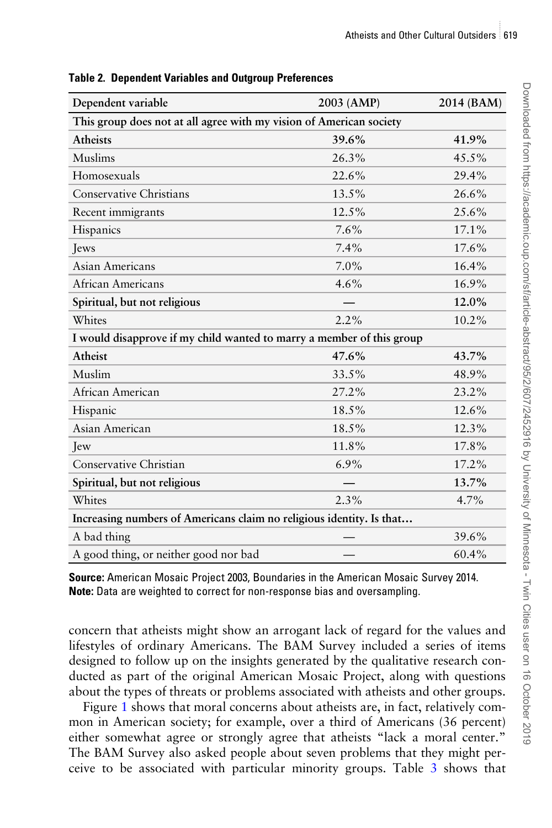| Dependent variable                                                    | 2003 (AMP) | 2014 (BAM) |
|-----------------------------------------------------------------------|------------|------------|
| This group does not at all agree with my vision of American society   |            |            |
| <b>Atheists</b>                                                       | 39.6%      | 41.9%      |
| Muslims                                                               | $26.3\%$   | 45.5%      |
| Homosexuals                                                           | 22.6%      | 29.4%      |
| <b>Conservative Christians</b>                                        | 13.5%      | 26.6%      |
| Recent immigrants                                                     | 12.5%      | 25.6%      |
| Hispanics                                                             | 7.6%       | 17.1%      |
| <b>J</b> ews                                                          | 7.4%       | 17.6%      |
| <b>Asian Americans</b>                                                | 7.0%       | 16.4%      |
| African Americans                                                     | $4.6\%$    | 16.9%      |
| Spiritual, but not religious                                          |            | 12.0%      |
| Whites                                                                | $2.2\%$    | 10.2%      |
| I would disapprove if my child wanted to marry a member of this group |            |            |
| Atheist                                                               | 47.6%      | 43.7%      |
| Muslim                                                                | 33.5%      | 48.9%      |
| African American                                                      | 27.2%      | 23.2%      |
| Hispanic                                                              | 18.5%      | 12.6%      |
| Asian American                                                        | 18.5%      | 12.3%      |
| <b>I</b> ew                                                           | 11.8%      | 17.8%      |
| Conservative Christian                                                | $6.9\%$    | 17.2%      |
| Spiritual, but not religious                                          |            | 13.7%      |
| Whites                                                                | 2.3%       | 4.7%       |
| Increasing numbers of Americans claim no religious identity. Is that  |            |            |
| A bad thing                                                           |            | 39.6%      |
| A good thing, or neither good nor bad                                 |            | 60.4%      |

<span id="page-12-0"></span>Table 2. Dependent Variables and Outgroup Preferences

Source: American Mosaic Project 2003, Boundaries in the American Mosaic Survey 2014. Note: Data are weighted to correct for non-response bias and oversampling.

concern that atheists might show an arrogant lack of regard for the values and lifestyles of ordinary Americans. The BAM Survey included a series of items designed to follow up on the insights generated by the qualitative research conducted as part of the original American Mosaic Project, along with questions about the types of threats or problems associated with atheists and other groups.

Figure [1](#page-13-0) shows that moral concerns about atheists are, in fact, relatively common in American society; for example, over a third of Americans (36 percent) either somewhat agree or strongly agree that atheists "lack a moral center." The BAM Survey also asked people about seven problems that they might perceive to be associated with particular minority groups. Table [3](#page-13-0) shows that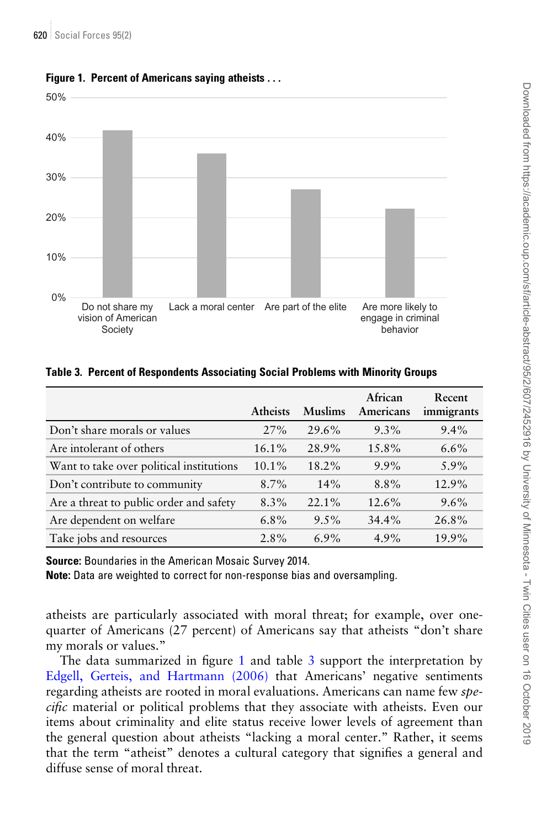

<span id="page-13-0"></span>Figure 1. Percent of Americans saying atheists . . .

|                                          | <b>Atheists</b> | <b>Muslims</b> | African<br>Americans | Recent<br>immigrants |
|------------------------------------------|-----------------|----------------|----------------------|----------------------|
| Don't share morals or values             | 27%             | 29.6%          | $9.3\%$              | $9.4\%$              |
| Are intolerant of others                 | 16.1%           | 28.9%          | 15.8%                | $6.6\%$              |
| Want to take over political institutions | 10.1%           | 18.2%          | $9.9\%$              | 5.9%                 |
| Don't contribute to community            | $8.7\%$         | 14%            | 8.8%                 | 12.9%                |
| Are a threat to public order and safety  | $8.3\%$         | $22.1\%$       | $12.6\%$             | $9.6\%$              |
| Are dependent on welfare                 | $6.8\%$         | $9.5\%$        | $34.4\%$             | 26.8%                |
| Take jobs and resources                  | $2.8\%$         | $6.9\%$        | $4.9\%$              | 19.9%                |

Table 3. Percent of Respondents Associating Social Problems with Minority Groups

Source: Boundaries in the American Mosaic Survey 2014.

Note: Data are weighted to correct for non-response bias and oversampling.

atheists are particularly associated with moral threat; for example, over onequarter of Americans (27 percent) of Americans say that atheists "don't share my morals or values."

The data summarized in figure 1 and table 3 support the interpretation by [Edgell, Gerteis, and Hartmann \(2006\)](#page-28-0) that Americans' negative sentiments regarding atheists are rooted in moral evaluations. Americans can name few specific material or political problems that they associate with atheists. Even our items about criminality and elite status receive lower levels of agreement than the general question about atheists "lacking a moral center." Rather, it seems that the term "atheist" denotes a cultural category that signifies a general and diffuse sense of moral threat.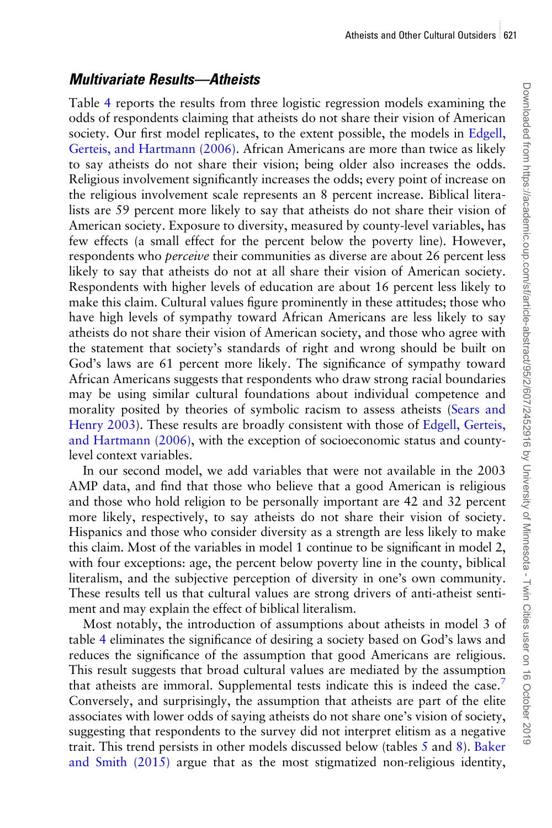# Multivariate Results—Atheists

Table [4](#page-15-0) reports the results from three logistic regression models examining the odds of respondents claiming that atheists do not share their vision of American society. Our first model replicates, to the extent possible, the models in [Edgell,](#page-28-0) [Gerteis, and Hartmann \(2006\).](#page-28-0) African Americans are more than twice as likely to say atheists do not share their vision; being older also increases the odds. Religious involvement significantly increases the odds; every point of increase on the religious involvement scale represents an 8 percent increase. Biblical literalists are 59 percent more likely to say that atheists do not share their vision of American society. Exposure to diversity, measured by county-level variables, has few effects (a small effect for the percent below the poverty line). However, respondents who perceive their communities as diverse are about 26 percent less likely to say that atheists do not at all share their vision of American society. Respondents with higher levels of education are about 16 percent less likely to make this claim. Cultural values figure prominently in these attitudes; those who have high levels of sympathy toward African Americans are less likely to say atheists do not share their vision of American society, and those who agree with the statement that society's standards of right and wrong should be built on God's laws are 61 percent more likely. The significance of sympathy toward African Americans suggests that respondents who draw strong racial boundaries may be using similar cultural foundations about individual competence and morality posited by theories of symbolic racism to assess atheists [\(Sears and](#page-30-0) [Henry 2003](#page-30-0)). These results are broadly consistent with those of [Edgell, Gerteis,](#page-28-0) [and Hartmann \(2006\),](#page-28-0) with the exception of socioeconomic status and countylevel context variables.

In our second model, we add variables that were not available in the 2003 AMP data, and find that those who believe that a good American is religious and those who hold religion to be personally important are 42 and 32 percent more likely, respectively, to say atheists do not share their vision of society. Hispanics and those who consider diversity as a strength are less likely to make this claim. Most of the variables in model 1 continue to be significant in model 2, with four exceptions: age, the percent below poverty line in the county, biblical literalism, and the subjective perception of diversity in one's own community. These results tell us that cultural values are strong drivers of anti-atheist sentiment and may explain the effect of biblical literalism.

Most notably, the introduction of assumptions about atheists in model 3 of table [4](#page-15-0) eliminates the significance of desiring a society based on God's laws and reduces the significance of the assumption that good Americans are religious. This result suggests that broad cultural values are mediated by the assumption that atheists are immoral. Supplemental tests indicate this is indeed the case.<sup>7</sup> Conversely, and surprisingly, the assumption that atheists are part of the elite associates with lower odds of saying atheists do not share one's vision of society, suggesting that respondents to the survey did not interpret elitism as a negative trait. This trend persists in other models discussed below (tables [5](#page-17-0) and [8](#page-23-0)). [Baker](#page-27-0) [and Smith \(2015\)](#page-27-0) argue that as the most stigmatized non-religious identity,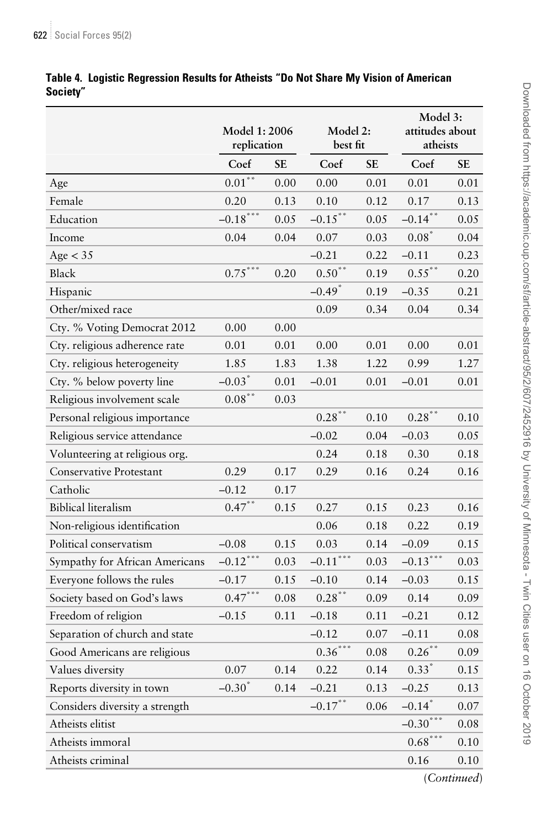<span id="page-15-0"></span>

|          | Table 4. Logistic Regression Results for Atheists "Do Not Share My Vision of American |  |  |
|----------|---------------------------------------------------------------------------------------|--|--|
| Society" |                                                                                       |  |  |

|                                | <b>Model 1: 2006</b><br>replication |           | Model 2:<br>best fit |           | Model 3:<br>attitudes about<br>atheists |           |
|--------------------------------|-------------------------------------|-----------|----------------------|-----------|-----------------------------------------|-----------|
|                                | Coef                                | <b>SE</b> | Coef                 | <b>SE</b> | Coef                                    | <b>SE</b> |
| Age                            | $0.01***$                           | 0.00      | 0.00                 | 0.01      | 0.01                                    | 0.01      |
| Female                         | 0.20                                | 0.13      | 0.10                 | 0.12      | 0.17                                    | 0.13      |
| Education                      | $-0.18***$                          | 0.05      | $-0.15***$           | 0.05      | $-0.14$ **                              | 0.05      |
| Income                         | 0.04                                | 0.04      | 0.07                 | 0.03      | $0.08^*$                                | 0.04      |
| Age $<$ 35                     |                                     |           | $-0.21$              | 0.22      | $-0.11$                                 | 0.23      |
| Black                          | $0.75***$                           | 0.20      | $0.50$ **            | 0.19      | $0.55***$                               | 0.20      |
| Hispanic                       |                                     |           | $-0.49$ <sup>*</sup> | 0.19      | $-0.35$                                 | 0.21      |
| Other/mixed race               |                                     |           | 0.09                 | 0.34      | 0.04                                    | 0.34      |
| Cty. % Voting Democrat 2012    | 0.00                                | 0.00      |                      |           |                                         |           |
| Cty. religious adherence rate  | 0.01                                | 0.01      | 0.00                 | 0.01      | 0.00                                    | 0.01      |
| Cty. religious heterogeneity   | 1.85                                | 1.83      | 1.38                 | 1.22      | 0.99                                    | 1.27      |
| Cty. % below poverty line      | $-0.03$ <sup>*</sup>                | 0.01      | $-0.01$              | 0.01      | $-0.01$                                 | 0.01      |
| Religious involvement scale    | $0.08***$                           | 0.03      |                      |           |                                         |           |
| Personal religious importance  |                                     |           | $0.28$ **            | 0.10      | $0.28***$                               | 0.10      |
| Religious service attendance   |                                     |           | $-0.02$              | 0.04      | $-0.03$                                 | 0.05      |
| Volunteering at religious org. |                                     |           | 0.24                 | 0.18      | 0.30                                    | 0.18      |
| <b>Conservative Protestant</b> | 0.29                                | 0.17      | 0.29                 | 0.16      | 0.24                                    | 0.16      |
| Catholic                       | $-0.12$                             | 0.17      |                      |           |                                         |           |
| <b>Biblical literalism</b>     | $0.47***$                           | 0.15      | 0.27                 | 0.15      | 0.23                                    | 0.16      |
| Non-religious identification   |                                     |           | 0.06                 | 0.18      | 0.22                                    | 0.19      |
| Political conservatism         | $-0.08$                             | 0.15      | 0.03                 | 0.14      | $-0.09$                                 | 0.15      |
| Sympathy for African Americans | $-0.12$ ***                         | 0.03      | $-0.11***$           | 0.03      | $-0.13***$                              | 0.03      |
| Everyone follows the rules     | $-0.17$                             | 0.15      | $-0.10$              | 0.14      | $-0.03$                                 | 0.15      |
| Society based on God's laws    | $0.47***$                           | 0.08      | $0.28***$            | 0.09      | 0.14                                    | 0.09      |
| Freedom of religion            | $-0.15$                             | 0.11      | $-0.18$              | 0.11      | $-0.21$                                 | 0.12      |
| Separation of church and state |                                     |           | $-0.12$              | 0.07      | $-0.11$                                 | 0.08      |
| Good Americans are religious   |                                     |           | $0.36***$            | 0.08      | $0.26***$                               | 0.09      |
| Values diversity               | 0.07                                | 0.14      | 0.22                 | 0.14      | $0.33^{r}$                              | 0.15      |
| Reports diversity in town      | $-0.30^*$                           | 0.14      | $-0.21$              | 0.13      | $-0.25$                                 | 0.13      |
| Considers diversity a strength |                                     |           | $-0.17***$           | 0.06      | $-0.14$ <sup>*</sup>                    | 0.07      |
| Atheists elitist               |                                     |           |                      |           | $-0.30***$                              | 0.08      |
| Atheists immoral               |                                     |           |                      |           | $0.68***$                               | 0.10      |
| Atheists criminal              |                                     |           |                      |           | 0.16                                    | 0.10      |
|                                |                                     |           |                      |           |                                         | $\cdot$   |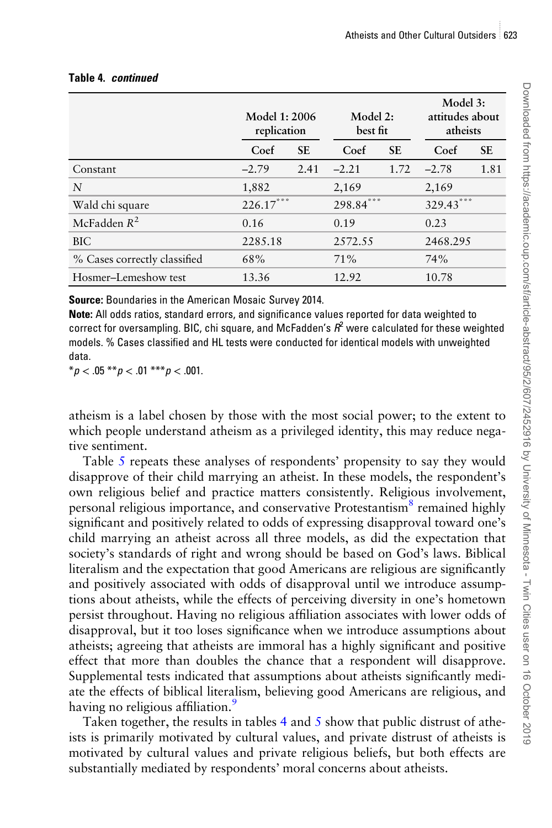|                              | Model 1: 2006<br>replication |           | Model 2:<br>best fit |           |           |           | Model 3:<br>attitudes about<br>atheists |  |
|------------------------------|------------------------------|-----------|----------------------|-----------|-----------|-----------|-----------------------------------------|--|
|                              | Coef                         | <b>SE</b> | Coef                 | <b>SE</b> | Coef      | <b>SE</b> |                                         |  |
| Constant                     | $-2.79$                      | 2.41      | $-2.21$              | 1.72      | $-2.78$   | 1.81      |                                         |  |
| N                            | 1,882                        |           | 2,169                |           | 2,169     |           |                                         |  |
| Wald chi square              | $226.17***$                  |           | 298.84***            |           | 329.43*** |           |                                         |  |
| McFadden $R^2$               | 0.16                         |           | 0.19                 |           | 0.23      |           |                                         |  |
| BIC                          | 2285.18                      |           | 2572.55              |           | 2468.295  |           |                                         |  |
| % Cases correctly classified | 68%                          |           | 71%                  |           | 74%       |           |                                         |  |
| Hosmer-Lemeshow test         | 13.36                        |           | 12.92                |           | 10.78     |           |                                         |  |

#### Table 4. continued

Source: Boundaries in the American Mosaic Survey 2014.

Note: All odds ratios, standard errors, and significance values reported for data weighted to correct for oversampling. BIC, chi square, and McFadden's  $R^2$  were calculated for these weighted models. % Cases classified and HL tests were conducted for identical models with unweighted data.

 $*$ *p* < .05 \*\**p* < .01 \*\*\**p* < .001.

atheism is a label chosen by those with the most social power; to the extent to which people understand atheism as a privileged identity, this may reduce negative sentiment.

Table [5](#page-17-0) repeats these analyses of respondents' propensity to say they would disapprove of their child marrying an atheist. In these models, the respondent's own religious belief and practice matters consistently. Religious involvement, personal religious importance, and conservative Protestantism<sup>8</sup> remained highly significant and positively related to odds of expressing disapproval toward one's child marrying an atheist across all three models, as did the expectation that society's standards of right and wrong should be based on God's laws. Biblical literalism and the expectation that good Americans are religious are significantly and positively associated with odds of disapproval until we introduce assumptions about atheists, while the effects of perceiving diversity in one's hometown persist throughout. Having no religious affiliation associates with lower odds of disapproval, but it too loses significance when we introduce assumptions about atheists; agreeing that atheists are immoral has a highly significant and positive effect that more than doubles the chance that a respondent will disapprove. Supplemental tests indicated that assumptions about atheists significantly mediate the effects of biblical literalism, believing good Americans are religious, and having no religious affiliation.<sup>9</sup>

Taken together, the results in tables [4](#page-15-0) and [5](#page-17-0) show that public distrust of atheists is primarily motivated by cultural values, and private distrust of atheists is motivated by cultural values and private religious beliefs, but both effects are substantially mediated by respondents' moral concerns about atheists.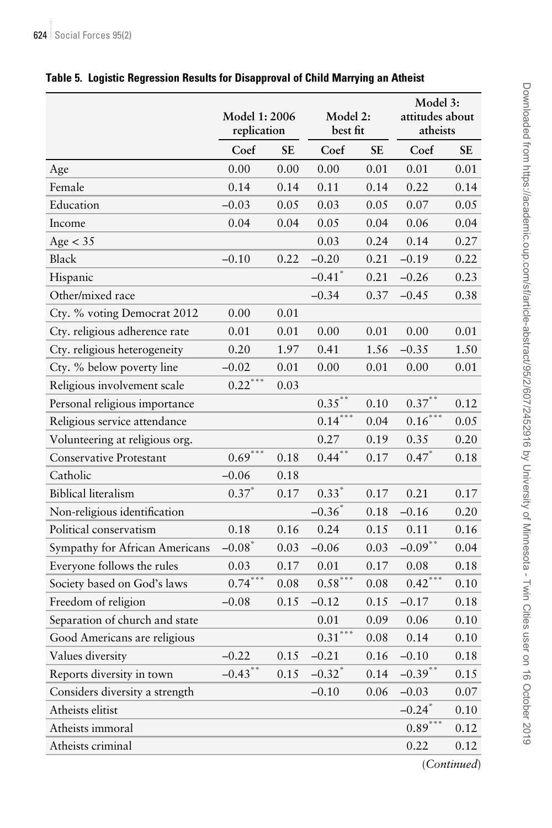|                                | Model 1: 2006<br>replication |           | Model 2:<br>best fit |           | Model 3:<br>attitudes about<br>atheists |           |
|--------------------------------|------------------------------|-----------|----------------------|-----------|-----------------------------------------|-----------|
|                                | Coef                         | <b>SE</b> | Coef                 | <b>SE</b> | Coef                                    | <b>SE</b> |
| Age                            | 0.00                         | 0.00      | 0.00                 | 0.01      | 0.01                                    | 0.01      |
| Female                         | 0.14                         | 0.14      | 0.11                 | 0.14      | 0.22                                    | 0.14      |
| Education                      | $-0.03$                      | 0.05      | 0.03                 | 0.05      | 0.07                                    | 0.05      |
| Income                         | 0.04                         | 0.04      | 0.05                 | 0.04      | 0.06                                    | 0.04      |
| Age $<$ 35                     |                              |           | 0.03                 | 0.24      | 0.14                                    | 0.27      |
| Black                          | $-0.10$                      | 0.22      | $-0.20$              | 0.21      | $-0.19$                                 | 0.22      |
| Hispanic                       |                              |           | $-0.41$ <sup>*</sup> | 0.21      | $-0.26$                                 | 0.23      |
| Other/mixed race               |                              |           | $-0.34$              | 0.37      | $-0.45$                                 | 0.38      |
| Cty. % voting Democrat 2012    | 0.00                         | 0.01      |                      |           |                                         |           |
| Cty. religious adherence rate  | 0.01                         | 0.01      | 0.00                 | 0.01      | 0.00                                    | 0.01      |
| Cty. religious heterogeneity   | 0.20                         | 1.97      | 0.41                 | 1.56      | $-0.35$                                 | 1.50      |
| Cty. % below poverty line      | $-0.02$                      | 0.01      | 0.00                 | 0.01      | 0.00                                    | 0.01      |
| Religious involvement scale    | $0.22$ ***                   | 0.03      |                      |           |                                         |           |
| Personal religious importance  |                              |           | $0.35***$            | 0.10      | $0.37***$                               | 0.12      |
| Religious service attendance   |                              |           | $0.14***$            | 0.04      | $0.16***$                               | 0.05      |
| Volunteering at religious org. |                              |           | 0.27                 | 0.19      | 0.35                                    | 0.20      |
| <b>Conservative Protestant</b> | $0.69***$                    | 0.18      | $0.44$ **            | 0.17      | $0.47*$                                 | 0.18      |
| Catholic                       | $-0.06$                      | 0.18      |                      |           |                                         |           |
| <b>Biblical literalism</b>     | $0.37*$                      | 0.17      | $0.33*$              | 0.17      | 0.21                                    | 0.17      |
| Non-religious identification   |                              |           | $-0.36$ *            | 0.18      | $-0.16$                                 | 0.20      |
| Political conservatism         | 0.18                         | 0.16      | 0.24                 | 0.15      | 0.11                                    | 0.16      |
| Sympathy for African Americans | $-0.08$ <sup>*</sup>         | 0.03      | $-0.06$              | 0.03      | $-0.09$ **                              | 0.04      |
| Everyone follows the rules     | 0.03                         | 0.17      | 0.01                 | 0.17      | 0.08                                    | 0.18      |
| Society based on God's laws    | $0.74***$                    | 0.08      | $0.58***$            | 0.08      | 0.42                                    | 0.10      |
| Freedom of religion            | $-0.08$                      | 0.15      | $-0.12$              | 0.15      | $-0.17$                                 | 0.18      |
| Separation of church and state |                              |           | 0.01                 | 0.09      | 0.06                                    | 0.10      |
| Good Americans are religious   |                              |           | $0.31***$            | 0.08      | 0.14                                    | 0.10      |
| Values diversity               | $-0.22$                      | 0.15      | $-0.21$              | 0.16      | $-0.10$                                 | 0.18      |
| Reports diversity in town      | $-0.43$ **                   | 0.15      | $-0.32$ <sup>*</sup> | 0.14      | $-0.39$ **                              | 0.15      |
| Considers diversity a strength |                              |           | $-0.10$              | 0.06      | $-0.03$                                 | 0.07      |
| Atheists elitist               |                              |           |                      |           | $-0.24$ <sup>*</sup>                    | 0.10      |
| Atheists immoral               |                              |           |                      |           | $0.89***$                               | 0.12      |
| Atheists criminal              |                              |           |                      |           | 0.22                                    | 0.12      |
|                                |                              |           |                      |           |                                         |           |

### <span id="page-17-0"></span>Table 5. Logistic Regression Results for Disapproval of Child Marrying an Atheist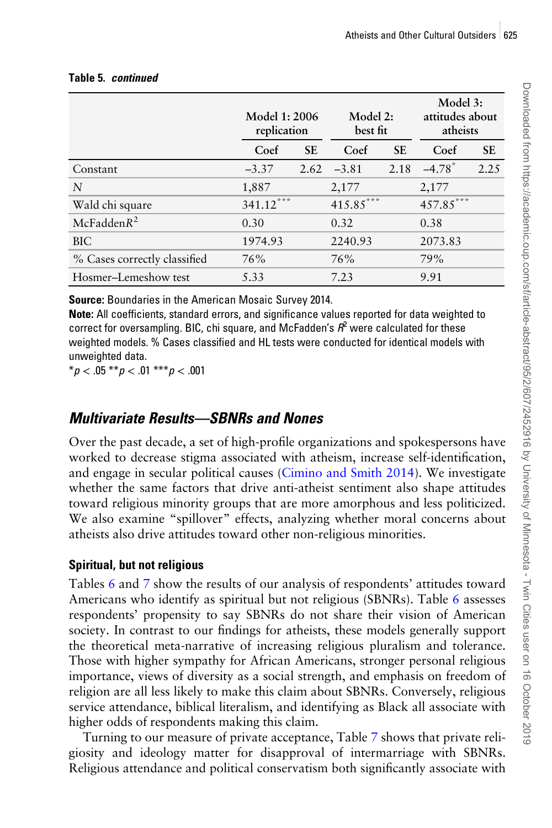|                              | Model 1: 2006<br>replication |           | Model 2:<br>best fit |           |                      |           | Model 3:<br>attitudes about<br>atheists |  |
|------------------------------|------------------------------|-----------|----------------------|-----------|----------------------|-----------|-----------------------------------------|--|
|                              | Coef                         | <b>SE</b> | Coef                 | <b>SE</b> | Coef                 | <b>SE</b> |                                         |  |
| Constant                     | $-3.37$                      | 2.62      | $-3.81$              | 2.18      | $-4.78$ <sup>*</sup> | 2.25      |                                         |  |
| N                            | 1,887                        |           | 2,177                |           | 2,177                |           |                                         |  |
| Wald chi square              | 341.12***                    |           | 415.85***            |           | 457.85***            |           |                                         |  |
| McFadden R <sup>2</sup>      | 0.30                         |           | 0.32                 |           | 0.38                 |           |                                         |  |
| <b>BIC</b>                   | 1974.93                      |           | 2240.93              |           | 2073.83              |           |                                         |  |
| % Cases correctly classified | 76%                          |           | 76%                  |           | 79%                  |           |                                         |  |
| Hosmer-Lemeshow test         | 5.33                         |           | 7.23                 |           | 9.91                 |           |                                         |  |

#### Table 5. continued

Source: Boundaries in the American Mosaic Survey 2014.

Note: All coefficients, standard errors, and significance values reported for data weighted to correct for oversampling. BIC, chi square, and McFadden's  $R^2$  were calculated for these weighted models. % Cases classified and HL tests were conducted for identical models with unweighted data.

 $*p < .05 **p < .01***p < .001$ 

# Multivariate Results—SBNRs and Nones

Over the past decade, a set of high-profile organizations and spokespersons have worked to decrease stigma associated with atheism, increase self-identification, and engage in secular political causes [\(Cimino and Smith 2014](#page-28-0)). We investigate whether the same factors that drive anti-atheist sentiment also shape attitudes toward religious minority groups that are more amorphous and less politicized. We also examine "spillover" effects, analyzing whether moral concerns about atheists also drive attitudes toward other non-religious minorities.

### Spiritual, but not religious

Tables [6](#page-19-0) and [7](#page-21-0) show the results of our analysis of respondents' attitudes toward Americans who identify as spiritual but not religious (SBNRs). Table [6](#page-19-0) assesses respondents' propensity to say SBNRs do not share their vision of American society. In contrast to our findings for atheists, these models generally support the theoretical meta-narrative of increasing religious pluralism and tolerance. Those with higher sympathy for African Americans, stronger personal religious importance, views of diversity as a social strength, and emphasis on freedom of religion are all less likely to make this claim about SBNRs. Conversely, religious service attendance, biblical literalism, and identifying as Black all associate with higher odds of respondents making this claim.

Turning to our measure of private acceptance, Table [7](#page-21-0) shows that private religiosity and ideology matter for disapproval of intermarriage with SBNRs. Religious attendance and political conservatism both significantly associate with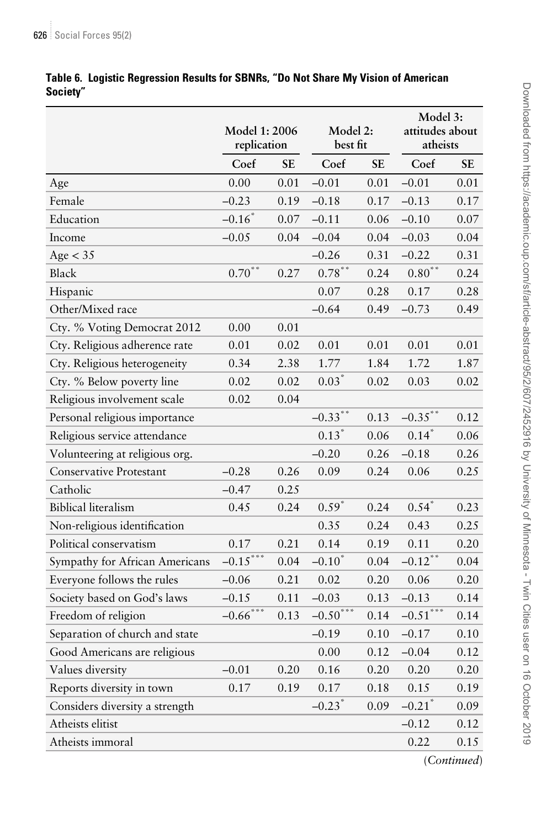|                                | Model 1: 2006<br>replication |      | Model 2:<br>best fit |           | Model 3:<br>attitudes about<br>atheists |          |  |
|--------------------------------|------------------------------|------|----------------------|-----------|-----------------------------------------|----------|--|
|                                | Coef                         | SE   | Coef                 | <b>SE</b> | Coef                                    | SE       |  |
| Age                            | 0.00                         | 0.01 | $-0.01$              | 0.01      | $-0.01$                                 | 0.01     |  |
| Female                         | $-0.23$                      | 0.19 | $-0.18$              | 0.17      | $-0.13$                                 | 0.17     |  |
| Education                      | $-0.16$ *                    | 0.07 | $-0.11$              | 0.06      | $-0.10$                                 | $0.07\,$ |  |
| Income                         | $-0.05$                      | 0.04 | $-0.04$              | 0.04      | $-0.03$                                 | 0.04     |  |
| Age $<$ 35                     |                              |      | $-0.26$              | 0.31      | $-0.22$                                 | 0.31     |  |
| Black                          | $0.70***$                    | 0.27 | $0.78***$            | 0.24      | $0.80***$                               | 0.24     |  |
| Hispanic                       |                              |      | 0.07                 | 0.28      | 0.17                                    | 0.28     |  |
| Other/Mixed race               |                              |      | $-0.64$              | 0.49      | $-0.73$                                 | 0.49     |  |
| Cty. % Voting Democrat 2012    | 0.00                         | 0.01 |                      |           |                                         |          |  |
| Cty. Religious adherence rate  | 0.01                         | 0.02 | 0.01                 | 0.01      | 0.01                                    | 0.01     |  |
| Cty. Religious heterogeneity   | 0.34                         | 2.38 | 1.77                 | 1.84      | 1.72                                    | 1.87     |  |
| Cty. % Below poverty line      | 0.02                         | 0.02 | $0.03*$              | 0.02      | 0.03                                    | 0.02     |  |
| Religious involvement scale    | 0.02                         | 0.04 |                      |           |                                         |          |  |
| Personal religious importance  |                              |      | $-0.33$ **           | 0.13      | $-0.35$ **                              | 0.12     |  |
| Religious service attendance   |                              |      | $0.13*$              | 0.06      | $0.14*$                                 | 0.06     |  |
| Volunteering at religious org. |                              |      | $-0.20$              | 0.26      | $-0.18$                                 | 0.26     |  |
| <b>Conservative Protestant</b> | $-0.28$                      | 0.26 | 0.09                 | 0.24      | 0.06                                    | 0.25     |  |
| Catholic                       | $-0.47$                      | 0.25 |                      |           |                                         |          |  |
| <b>Biblical literalism</b>     | 0.45                         | 0.24 | $0.59*$              | 0.24      | $0.54$ <sup>*</sup>                     | 0.23     |  |
| Non-religious identification   |                              |      | 0.35                 | 0.24      | 0.43                                    | 0.25     |  |
| Political conservatism         | 0.17                         | 0.21 | 0.14                 | 0.19      | 0.11                                    | 0.20     |  |
| Sympathy for African Americans | $-0.15***$                   | 0.04 | $-0.10$ <sup>*</sup> | 0.04      | $-0.12$ <sup>**</sup>                   | 0.04     |  |
| Everyone follows the rules     | $-0.06$                      | 0.21 | 0.02                 | 0.20      | 0.06                                    | 0.20     |  |
| Society based on God's laws    | $-0.15$                      | 0.11 | $-0.03$              | 0.13      | $-0.13$                                 | 0.14     |  |
| Freedom of religion            | $-0.66$ ***                  | 0.13 | $-0.50***$           | 0.14      | $-0.51$ ***                             | 0.14     |  |
| Separation of church and state |                              |      | $-0.19$              | 0.10      | $-0.17$                                 | 0.10     |  |
| Good Americans are religious   |                              |      | 0.00                 | 0.12      | $-0.04$                                 | 0.12     |  |
| Values diversity               | $-0.01$                      | 0.20 | 0.16                 | 0.20      | 0.20                                    | 0.20     |  |
| Reports diversity in town      | 0.17                         | 0.19 | 0.17                 | 0.18      | 0.15                                    | 0.19     |  |
| Considers diversity a strength |                              |      | $-0.23$ <sup>*</sup> | 0.09      | $-0.21$ <sup>*</sup>                    | 0.09     |  |
| Atheists elitist               |                              |      |                      |           | $-0.12$                                 | 0.12     |  |
| Atheists immoral               |                              |      |                      |           | 0.22                                    | 0.15     |  |

<span id="page-19-0"></span>Table 6. Logistic Regression Results for SBNRs, "Do Not Share My Vision of American Society"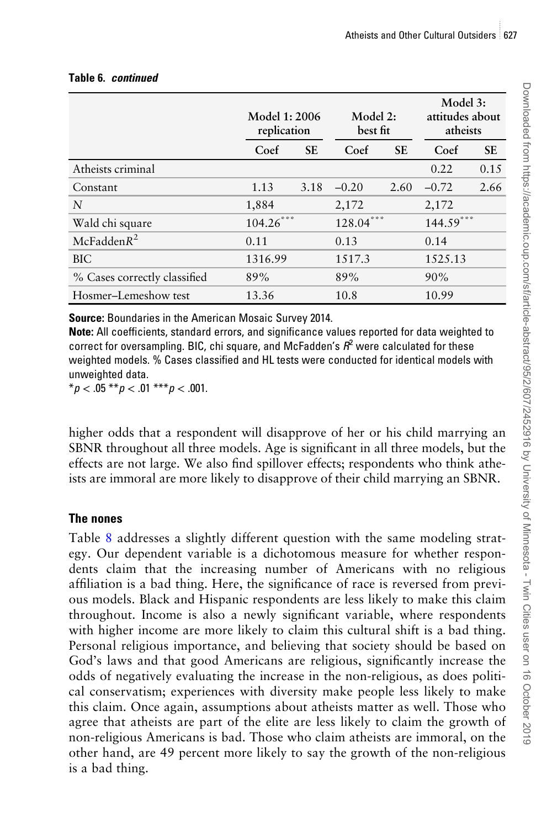|                              | Model 1: 2006<br>replication |           | Model 2:<br>best fit |           | Model 3:<br>attitudes about<br>atheists |           |  |
|------------------------------|------------------------------|-----------|----------------------|-----------|-----------------------------------------|-----------|--|
|                              | Coef                         | <b>SE</b> | Coef                 | <b>SE</b> | Coef                                    | <b>SE</b> |  |
| Atheists criminal            |                              |           |                      |           | 0.22                                    | 0.15      |  |
| Constant                     | 1.13                         | 3.18      | $-0.20$              | 2.60      | $-0.72$                                 | 2.66      |  |
| N                            | 1,884                        |           | 2,172                |           | 2,172                                   |           |  |
| Wald chi square              | $104.26$ ***                 |           | ***<br>128.04        |           | ***<br>144.59                           |           |  |
| McFadden R <sup>2</sup>      | 0.11                         |           | 0.13                 |           | 0.14                                    |           |  |
| <b>BIC</b>                   | 1316.99                      |           | 1517.3               |           | 1525.13                                 |           |  |
| % Cases correctly classified | 89%                          |           | 89%                  |           | 90%                                     |           |  |
| Hosmer-Lemeshow test         | 13.36                        |           | 10.8                 |           | 10.99                                   |           |  |

#### Table 6. continued

Source: Boundaries in the American Mosaic Survey 2014.

Note: All coefficients, standard errors, and significance values reported for data weighted to correct for oversampling. BIC, chi square, and McFadden's  $R^2$  were calculated for these weighted models. % Cases classified and HL tests were conducted for identical models with unweighted data.

 $*_p$  < .05  $*_p$  < .01  $**_p$  < .001.

higher odds that a respondent will disapprove of her or his child marrying an SBNR throughout all three models. Age is significant in all three models, but the effects are not large. We also find spillover effects; respondents who think atheists are immoral are more likely to disapprove of their child marrying an SBNR.

#### The nones

Table [8](#page-23-0) addresses a slightly different question with the same modeling strategy. Our dependent variable is a dichotomous measure for whether respondents claim that the increasing number of Americans with no religious affiliation is a bad thing. Here, the significance of race is reversed from previous models. Black and Hispanic respondents are less likely to make this claim throughout. Income is also a newly significant variable, where respondents with higher income are more likely to claim this cultural shift is a bad thing. Personal religious importance, and believing that society should be based on God's laws and that good Americans are religious, significantly increase the odds of negatively evaluating the increase in the non-religious, as does political conservatism; experiences with diversity make people less likely to make this claim. Once again, assumptions about atheists matter as well. Those who agree that atheists are part of the elite are less likely to claim the growth of non-religious Americans is bad. Those who claim atheists are immoral, on the other hand, are 49 percent more likely to say the growth of the non-religious is a bad thing.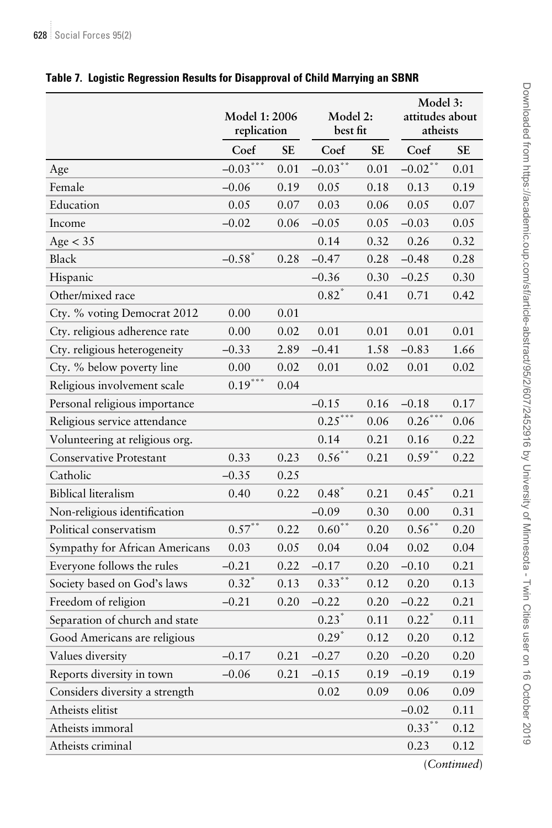|                                | Model 1: 2006<br>replication |           | Model 2:<br>best fit |           | Model 3:<br>attitudes about<br>atheists |           |
|--------------------------------|------------------------------|-----------|----------------------|-----------|-----------------------------------------|-----------|
|                                | Coef                         | <b>SE</b> | Coef                 | <b>SE</b> | Coef                                    | <b>SE</b> |
| Age                            | $-0.03***$                   | 0.01      | $-0.03***$           | 0.01      | $-0.02$ **                              | 0.01      |
| Female                         | $-0.06$                      | 0.19      | 0.05                 | 0.18      | 0.13                                    | 0.19      |
| Education                      | 0.05                         | 0.07      | 0.03                 | 0.06      | 0.05                                    | 0.07      |
| Income                         | $-0.02$                      | 0.06      | $-0.05$              | 0.05      | $-0.03$                                 | 0.05      |
| Age $<$ 35                     |                              |           | 0.14                 | 0.32      | 0.26                                    | 0.32      |
| Black                          | $-0.58$ *                    | 0.28      | $-0.47$              | 0.28      | $-0.48$                                 | 0.28      |
| Hispanic                       |                              |           | $-0.36$              | 0.30      | $-0.25$                                 | 0.30      |
| Other/mixed race               |                              |           | $0.82*$              | 0.41      | 0.71                                    | 0.42      |
| Cty. % voting Democrat 2012    | 0.00                         | 0.01      |                      |           |                                         |           |
| Cty. religious adherence rate  | 0.00                         | 0.02      | 0.01                 | 0.01      | 0.01                                    | 0.01      |
| Cty. religious heterogeneity   | $-0.33$                      | 2.89      | $-0.41$              | 1.58      | $-0.83$                                 | 1.66      |
| Cty. % below poverty line      | 0.00                         | 0.02      | 0.01                 | 0.02      | 0.01                                    | 0.02      |
| Religious involvement scale    | $0.19***$                    | 0.04      |                      |           |                                         |           |
| Personal religious importance  |                              |           | $-0.15$              | 0.16      | $-0.18$                                 | 0.17      |
| Religious service attendance   |                              |           | $0.25***$            | 0.06      | $0.26$ ***                              | 0.06      |
| Volunteering at religious org. |                              |           | 0.14                 | 0.21      | 0.16                                    | 0.22      |
| <b>Conservative Protestant</b> | 0.33                         | 0.23      | $0.56$ **            | 0.21      | $0.59***$                               | 0.22      |
| Catholic                       | $-0.35$                      | 0.25      |                      |           |                                         |           |
| <b>Biblical literalism</b>     | 0.40                         | 0.22      | $0.48*$              | 0.21      | $0.45*$                                 | 0.21      |
| Non-religious identification   |                              |           | $-0.09$              | 0.30      | 0.00                                    | 0.31      |
| Political conservatism         | $0.57***$                    | 0.22      | $0.60***$            | 0.20      | $0.56***$                               | 0.20      |
| Sympathy for African Americans | 0.03                         | 0.05      | 0.04                 | 0.04      | 0.02                                    | 0.04      |
| Everyone follows the rules     | $-0.21$                      | 0.22      | $-0.17$              | 0.20      | $-0.10$                                 | 0.21      |
| Society based on God's laws    | $0.32*$                      | 0.13      | $0.33***$            | 0.12      | 0.20                                    | 0.13      |
| Freedom of religion            | $-0.21$                      | 0.20      | $-0.22$              | 0.20      | $-0.22$                                 | 0.21      |
| Separation of church and state |                              |           | $0.23*$              | 0.11      | $0.22$ <sup>*</sup>                     | 0.11      |
| Good Americans are religious   |                              |           | $0.29*$              | 0.12      | 0.20                                    | 0.12      |
| Values diversity               | $-0.17$                      | 0.21      | $-0.27$              | 0.20      | $-0.20$                                 | 0.20      |
| Reports diversity in town      | $-0.06$                      | 0.21      | $-0.15$              | 0.19      | $-0.19$                                 | 0.19      |
| Considers diversity a strength |                              |           | 0.02                 | 0.09      | 0.06                                    | 0.09      |
| Atheists elitist               |                              |           |                      |           | $-0.02$                                 | 0.11      |
| Atheists immoral               |                              |           |                      |           | $0.33***$                               | 0.12      |
| Atheists criminal              |                              |           |                      |           | 0.23                                    | 0.12      |
|                                |                              |           |                      |           |                                         | المصيبية  |

### <span id="page-21-0"></span>Table 7. Logistic Regression Results for Disapproval of Child Marrying an SBNR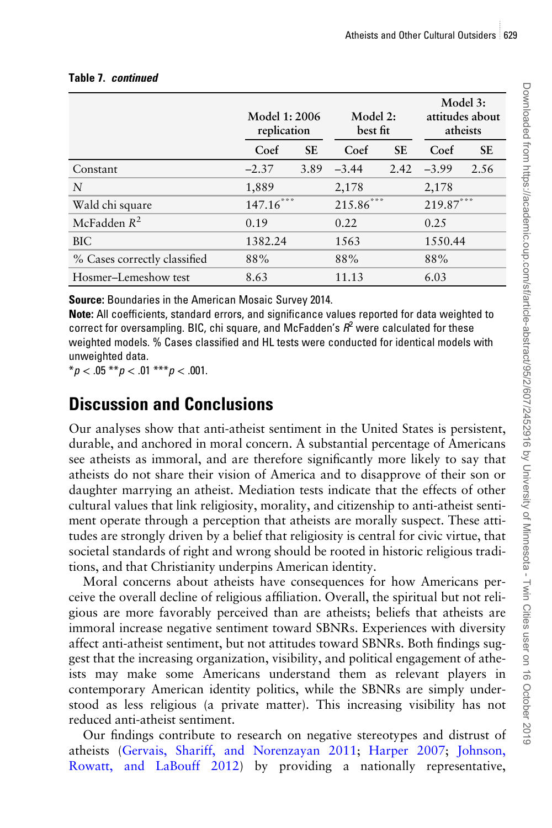|                              | Model 1: 2006<br>replication |           | Model 2:<br>best fit |           | Model 3:<br>attitudes about<br>atheists |           |
|------------------------------|------------------------------|-----------|----------------------|-----------|-----------------------------------------|-----------|
|                              | Coef                         | <b>SE</b> | Coef                 | <b>SE</b> | Coef                                    | <b>SE</b> |
| Constant                     | $-2.37$                      | 3.89      | $-3.44$              | 2.42      | $-3.99$                                 | 2.56      |
| N                            | 1,889                        |           | 2,178                |           | 2,178                                   |           |
| Wald chi square              | $147.16***$                  |           | 215.86***            |           | 219.87***                               |           |
| McFadden $R^2$               | 0.19                         |           | 0.22                 |           | 0.25                                    |           |
| <b>BIC</b>                   | 1382.24                      |           | 1563                 |           | 1550.44                                 |           |
| % Cases correctly classified | 88%                          |           | 88%                  |           | 88%                                     |           |
| Hosmer-Lemeshow test         | 8.63                         |           | 11.13                |           | 6.03                                    |           |

#### Table 7. continued

Source: Boundaries in the American Mosaic Survey 2014.

Note: All coefficients, standard errors, and significance values reported for data weighted to correct for oversampling. BIC, chi square, and McFadden's  $R^2$  were calculated for these weighted models. % Cases classified and HL tests were conducted for identical models with unweighted data.

 $*_p$  < .05  $*_p$  < .01  $**_p$  < .001.

# Discussion and Conclusions

Our analyses show that anti-atheist sentiment in the United States is persistent, durable, and anchored in moral concern. A substantial percentage of Americans see atheists as immoral, and are therefore significantly more likely to say that atheists do not share their vision of America and to disapprove of their son or daughter marrying an atheist. Mediation tests indicate that the effects of other cultural values that link religiosity, morality, and citizenship to anti-atheist sentiment operate through a perception that atheists are morally suspect. These attitudes are strongly driven by a belief that religiosity is central for civic virtue, that societal standards of right and wrong should be rooted in historic religious traditions, and that Christianity underpins American identity.

Moral concerns about atheists have consequences for how Americans perceive the overall decline of religious affiliation. Overall, the spiritual but not religious are more favorably perceived than are atheists; beliefs that atheists are immoral increase negative sentiment toward SBNRs. Experiences with diversity affect anti-atheist sentiment, but not attitudes toward SBNRs. Both findings suggest that the increasing organization, visibility, and political engagement of atheists may make some Americans understand them as relevant players in contemporary American identity politics, while the SBNRs are simply understood as less religious (a private matter). This increasing visibility has not reduced anti-atheist sentiment.

Our findings contribute to research on negative stereotypes and distrust of atheists ([Gervais, Shariff, and Norenzayan 2011](#page-29-0); [Harper 2007](#page-29-0); [Johnson,](#page-30-0) [Rowatt, and LaBouff 2012](#page-30-0)) by providing a nationally representative,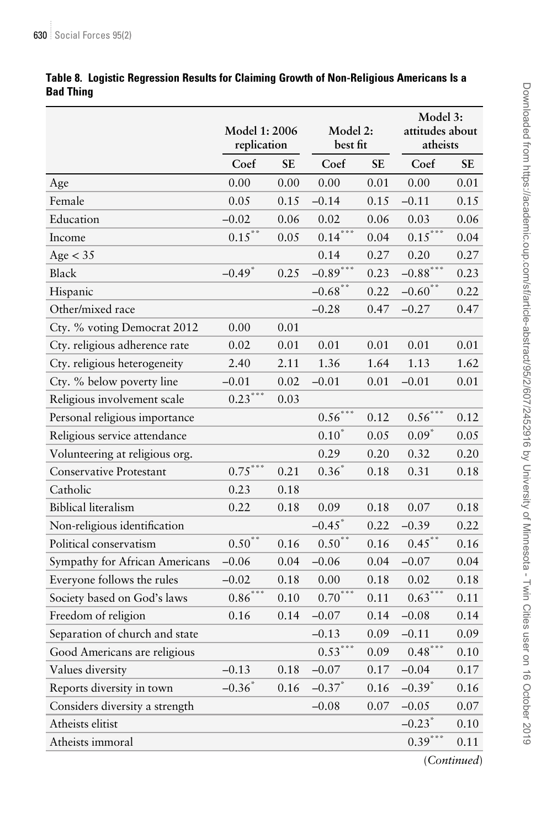<span id="page-23-0"></span>

|                  | Table 8. Logistic Regression Results for Claiming Growth of Non-Religious Americans Is a |
|------------------|------------------------------------------------------------------------------------------|
| <b>Bad Thing</b> |                                                                                          |

|                                | Model 1: 2006<br>replication |           | Model 2:<br>best fit   |           | Model 3:<br>attitudes about<br>atheists |                         |
|--------------------------------|------------------------------|-----------|------------------------|-----------|-----------------------------------------|-------------------------|
|                                | Coef                         | <b>SE</b> | Coef                   | <b>SE</b> | Coef                                    | <b>SE</b>               |
| Age                            | 0.00                         | 0.00      | 0.00                   | 0.01      | 0.00                                    | 0.01                    |
| Female                         | 0.05                         | 0.15      | $-0.14$                | 0.15      | $-0.11$                                 | 0.15                    |
| Education                      | $-0.02$                      | 0.06      | 0.02                   | 0.06      | 0.03                                    | 0.06                    |
| Income                         | $0.15***$                    | 0.05      | $0.14***$              | 0.04      | $0.15***$                               | 0.04                    |
| Age $<$ 35                     |                              |           | 0.14                   | 0.27      | 0.20                                    | 0.27                    |
| Black                          | $-0.49$ <sup>*</sup>         | 0.25      | $-0.89$ <sup>***</sup> | 0.23      | $-0.88$ <sup>***</sup>                  | 0.23                    |
| Hispanic                       |                              |           | $-0.68$ **             | 0.22      | $-0.60$ **                              | 0.22                    |
| Other/mixed race               |                              |           | $-0.28$                | 0.47      | $-0.27$                                 | 0.47                    |
| Cty. % voting Democrat 2012    | 0.00                         | 0.01      |                        |           |                                         |                         |
| Cty. religious adherence rate  | 0.02                         | 0.01      | 0.01                   | 0.01      | 0.01                                    | 0.01                    |
| Cty. religious heterogeneity   | 2.40                         | 2.11      | 1.36                   | 1.64      | 1.13                                    | 1.62                    |
| Cty. % below poverty line      | $-0.01$                      | 0.02      | $-0.01$                | 0.01      | $-0.01$                                 | 0.01                    |
| Religious involvement scale    | $0.23***$                    | 0.03      |                        |           |                                         |                         |
| Personal religious importance  |                              |           | $0.56***$              | 0.12      | $0.56***$                               | 0.12                    |
| Religious service attendance   |                              |           | $0.10^*$               | 0.05      | $0.09*$                                 | 0.05                    |
| Volunteering at religious org. |                              |           | 0.29                   | 0.20      | 0.32                                    | 0.20                    |
| <b>Conservative Protestant</b> | $0.75***$                    | 0.21      | $0.36*$                | 0.18      | 0.31                                    | 0.18                    |
| Catholic                       | 0.23                         | 0.18      |                        |           |                                         |                         |
| <b>Biblical literalism</b>     | 0.22                         | 0.18      | 0.09                   | 0.18      | 0.07                                    | 0.18                    |
| Non-religious identification   |                              |           | $-0.45$ <sup>*</sup>   | 0.22      | $-0.39$                                 | 0.22                    |
| Political conservatism         | $0.50^{**}$                  | 0.16      | $0.50$ **              | 0.16      | $0.45$ **                               | 0.16                    |
| Sympathy for African Americans | $-0.06$                      | 0.04      | $-0.06$                | 0.04      | $-0.07$                                 | 0.04                    |
| Everyone follows the rules     | $-0.02$                      | 0.18      | 0.00                   | 0.18      | 0.02                                    | 0.18                    |
| Society based on God's laws    | $0.86***$                    | 0.10      | $0.70***$              | 0.11      | $0.63***$                               | 0.11                    |
| Freedom of religion            | 0.16                         | 0.14      | $-0.07$                | 0.14      | $-0.08$                                 | 0.14                    |
| Separation of church and state |                              |           | $-0.13$                | 0.09      | $-0.11$                                 | 0.09                    |
| Good Americans are religious   |                              |           | $0.53$ ***             | 0.09      | $0.48***$                               | 0.10                    |
| Values diversity               | $-0.13$                      | 0.18      | $-0.07$                | 0.17      | $-0.04$                                 | 0.17                    |
| Reports diversity in town      | $-0.36$ <sup>*</sup>         | 0.16      | $-0.37$ <sup>*</sup>   | 0.16      | $-0.39$ <sup>*</sup>                    | 0.16                    |
| Considers diversity a strength |                              |           | $-0.08$                | 0.07      | $-0.05$                                 | $0.07\,$                |
| Atheists elitist               |                              |           |                        |           | $-0.23$ <sup>*</sup>                    | 0.10                    |
| Atheists immoral               |                              |           |                        |           | $0.39***$                               | 0.11                    |
|                                |                              |           |                        |           |                                         | $(C_{\text{outimued}})$ |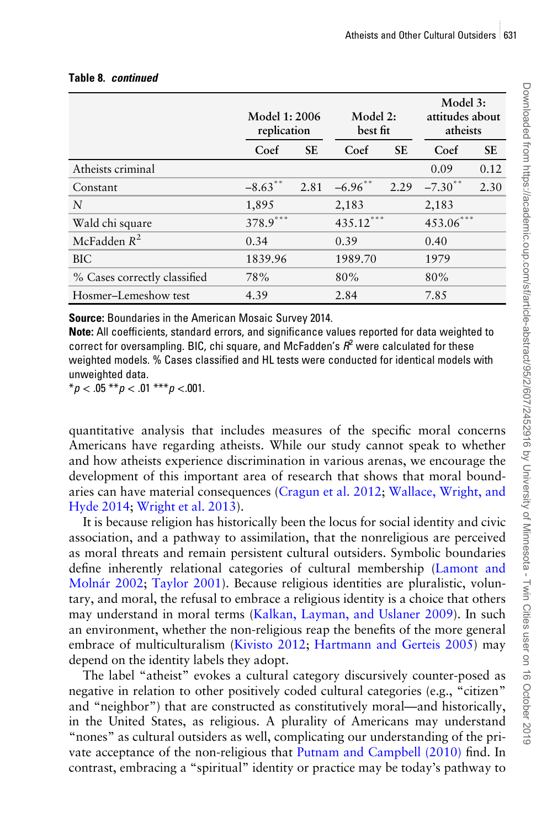|                              | Model 1: 2006<br>replication |           | Model 2:<br>best fit |           | Model 3:<br>attitudes about<br>atheists |           |
|------------------------------|------------------------------|-----------|----------------------|-----------|-----------------------------------------|-----------|
|                              | Coef                         | <b>SE</b> | Coef                 | <b>SE</b> | Coef                                    | <b>SE</b> |
| Atheists criminal            |                              |           |                      |           | 0.09                                    | 0.12      |
| Constant                     | $-8.63$ **                   | 2.81      | $-6.96$ **           | 2.29      | $-7.30$ **                              | 2.30      |
| N                            | 1,895                        |           | 2,183                |           | 2,183                                   |           |
| Wald chi square              | 378.9***                     |           | $* * *$<br>435.12    |           | 茶茶茶<br>453.06                           |           |
| McFadden $R^2$               | 0.34                         |           | 0.39                 |           | 0.40                                    |           |
| <b>BIC</b>                   | 1839.96                      |           | 1989.70              |           | 1979                                    |           |
| % Cases correctly classified | 78%                          |           | 80%                  |           | 80%                                     |           |
| Hosmer-Lemeshow test         | 4.39                         |           | 2.84                 |           | 7.85                                    |           |

#### Table 8. continued

Source: Boundaries in the American Mosaic Survey 2014.

Note: All coefficients, standard errors, and significance values reported for data weighted to correct for oversampling. BIC, chi square, and McFadden's  $R^2$  were calculated for these weighted models. % Cases classified and HL tests were conducted for identical models with unweighted data.

 $*_p$  < .05  $**_p$  < .01  $***_p$  < .001.

quantitative analysis that includes measures of the specific moral concerns Americans have regarding atheists. While our study cannot speak to whether and how atheists experience discrimination in various arenas, we encourage the development of this important area of research that shows that moral boundaries can have material consequences [\(Cragun et al. 2012;](#page-28-0) [Wallace, Wright, and](#page-31-0) [Hyde 2014;](#page-31-0) [Wright et al. 2013\)](#page-31-0).

It is because religion has historically been the locus for social identity and civic association, and a pathway to assimilation, that the nonreligious are perceived as moral threats and remain persistent cultural outsiders. Symbolic boundaries define inherently relational categories of cultural membership ([Lamont and](#page-30-0) [Molnár 2002](#page-30-0); [Taylor 2001](#page-31-0)). Because religious identities are pluralistic, voluntary, and moral, the refusal to embrace a religious identity is a choice that others may understand in moral terms [\(Kalkan, Layman, and Uslaner 2009\)](#page-30-0). In such an environment, whether the non-religious reap the benefits of the more general embrace of multiculturalism [\(Kivisto 2012](#page-30-0); [Hartmann and Gerteis 2005\)](#page-29-0) may depend on the identity labels they adopt.

The label "atheist" evokes a cultural category discursively counter-posed as negative in relation to other positively coded cultural categories (e.g., "citizen" and "neighbor") that are constructed as constitutively moral—and historically, in the United States, as religious. A plurality of Americans may understand "nones" as cultural outsiders as well, complicating our understanding of the private acceptance of the non-religious that [Putnam and Campbell \(2010\)](#page-30-0) find. In contrast, embracing a "spiritual" identity or practice may be today's pathway to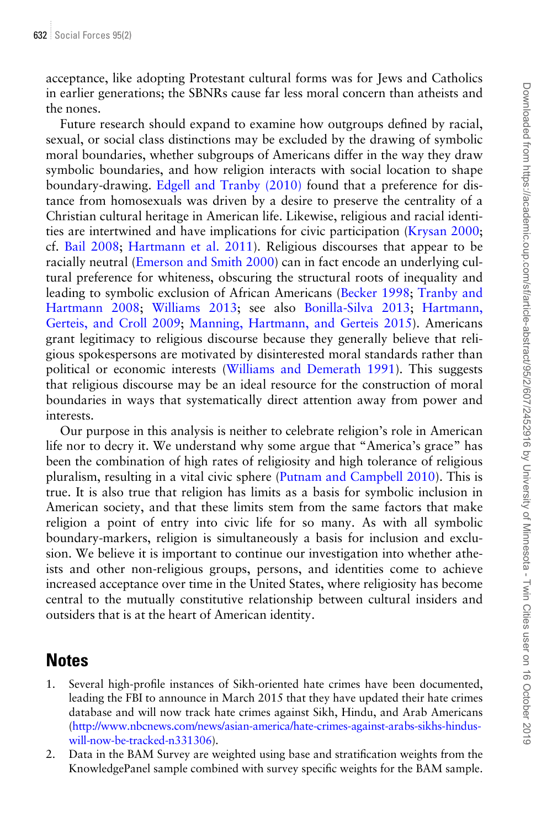acceptance, like adopting Protestant cultural forms was for Jews and Catholics in earlier generations; the SBNRs cause far less moral concern than atheists and the nones.

Future research should expand to examine how outgroups defined by racial, sexual, or social class distinctions may be excluded by the drawing of symbolic moral boundaries, whether subgroups of Americans differ in the way they draw symbolic boundaries, and how religion interacts with social location to shape boundary-drawing. [Edgell and Tranby \(2010\)](#page-29-0) found that a preference for distance from homosexuals was driven by a desire to preserve the centrality of a Christian cultural heritage in American life. Likewise, religious and racial identities are intertwined and have implications for civic participation [\(Krysan 2000](#page-30-0); cf. [Bail 2008](#page-27-0); [Hartmann et al. 2011](#page-29-0)). Religious discourses that appear to be racially neutral [\(Emerson and Smith 2000\)](#page-29-0) can in fact encode an underlying cultural preference for whiteness, obscuring the structural roots of inequality and leading to symbolic exclusion of African Americans ([Becker 1998;](#page-28-0) [Tranby and](#page-31-0) [Hartmann 2008](#page-31-0); [Williams 2013;](#page-31-0) see also [Bonilla-Silva 2013;](#page-28-0) [Hartmann,](#page-29-0) [Gerteis, and Croll 2009](#page-29-0); [Manning, Hartmann, and Gerteis 2015\)](#page-30-0). Americans grant legitimacy to religious discourse because they generally believe that religious spokespersons are motivated by disinterested moral standards rather than political or economic interests [\(Williams and Demerath 1991](#page-31-0)). This suggests that religious discourse may be an ideal resource for the construction of moral boundaries in ways that systematically direct attention away from power and interests.

Our purpose in this analysis is neither to celebrate religion's role in American life nor to decry it. We understand why some argue that "America's grace" has been the combination of high rates of religiosity and high tolerance of religious pluralism, resulting in a vital civic sphere ([Putnam and Campbell 2010\)](#page-30-0). This is true. It is also true that religion has limits as a basis for symbolic inclusion in American society, and that these limits stem from the same factors that make religion a point of entry into civic life for so many. As with all symbolic boundary-markers, religion is simultaneously a basis for inclusion and exclusion. We believe it is important to continue our investigation into whether atheists and other non-religious groups, persons, and identities come to achieve increased acceptance over time in the United States, where religiosity has become central to the mutually constitutive relationship between cultural insiders and outsiders that is at the heart of American identity.

# Notes

- 1. Several high-profile instances of Sikh-oriented hate crimes have been documented, leading the FBI to announce in March 2015 that they have updated their hate crimes database and will now track hate crimes against Sikh, Hindu, and Arab Americans ([http://www.nbcnews.com/news/asian-america/hate-crimes-against-arabs-sikhs-hindus](http://www.nbcnews.com/news/asian-america/hate-crimes-against-arabs-sikhs-hindus-will-now-be-tracked-n331306)[will-now-be-tracked-n331306\)](http://www.nbcnews.com/news/asian-america/hate-crimes-against-arabs-sikhs-hindus-will-now-be-tracked-n331306).
- 2. Data in the BAM Survey are weighted using base and stratification weights from the KnowledgePanel sample combined with survey specific weights for the BAM sample.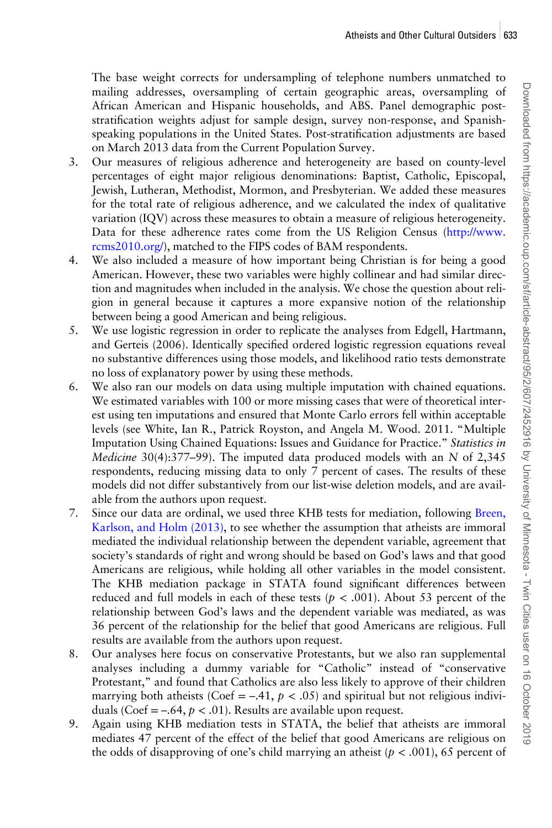The base weight corrects for undersampling of telephone numbers unmatched to mailing addresses, oversampling of certain geographic areas, oversampling of African American and Hispanic households, and ABS. Panel demographic poststratification weights adjust for sample design, survey non-response, and Spanishspeaking populations in the United States. Post-stratification adjustments are based on March 2013 data from the Current Population Survey.

- 3. Our measures of religious adherence and heterogeneity are based on county-level percentages of eight major religious denominations: Baptist, Catholic, Episcopal, Jewish, Lutheran, Methodist, Mormon, and Presbyterian. We added these measures for the total rate of religious adherence, and we calculated the index of qualitative variation (IQV) across these measures to obtain a measure of religious heterogeneity. Data for these adherence rates come from the US Religion Census ([http://www.](http://www.rcms2010.org/) [rcms2010.org/\)](http://www.rcms2010.org/), matched to the FIPS codes of BAM respondents.
- 4. We also included a measure of how important being Christian is for being a good American. However, these two variables were highly collinear and had similar direction and magnitudes when included in the analysis. We chose the question about religion in general because it captures a more expansive notion of the relationship between being a good American and being religious.
- 5. We use logistic regression in order to replicate the analyses from Edgell, Hartmann, and Gerteis (2006). Identically specified ordered logistic regression equations reveal no substantive differences using those models, and likelihood ratio tests demonstrate no loss of explanatory power by using these methods.
- 6. We also ran our models on data using multiple imputation with chained equations. We estimated variables with 100 or more missing cases that were of theoretical interest using ten imputations and ensured that Monte Carlo errors fell within acceptable levels (see White, Ian R., Patrick Royston, and Angela M. Wood. 2011. "Multiple Imputation Using Chained Equations: Issues and Guidance for Practice." Statistics in *Medicine* 30(4):377–99). The imputed data produced models with an N of 2,345 respondents, reducing missing data to only 7 percent of cases. The results of these models did not differ substantively from our list-wise deletion models, and are available from the authors upon request.
- 7. Since our data are ordinal, we used three KHB tests for mediation, following [Breen,](#page-28-0) [Karlson, and Holm \(2013\),](#page-28-0) to see whether the assumption that atheists are immoral mediated the individual relationship between the dependent variable, agreement that society's standards of right and wrong should be based on God's laws and that good Americans are religious, while holding all other variables in the model consistent. The KHB mediation package in STATA found significant differences between reduced and full models in each of these tests ( $p < .001$ ). About 53 percent of the relationship between God's laws and the dependent variable was mediated, as was 36 percent of the relationship for the belief that good Americans are religious. Full results are available from the authors upon request.
- 8. Our analyses here focus on conservative Protestants, but we also ran supplemental analyses including a dummy variable for "Catholic" instead of "conservative Protestant," and found that Catholics are also less likely to approve of their children marrying both atheists (Coef = -.41,  $p < .05$ ) and spiritual but not religious individuals (Coef =  $-.64, p < .01$ ). Results are available upon request.
- 9. Again using KHB mediation tests in STATA, the belief that atheists are immoral mediates 47 percent of the effect of the belief that good Americans are religious on the odds of disapproving of one's child marrying an atheist ( $p < .001$ ), 65 percent of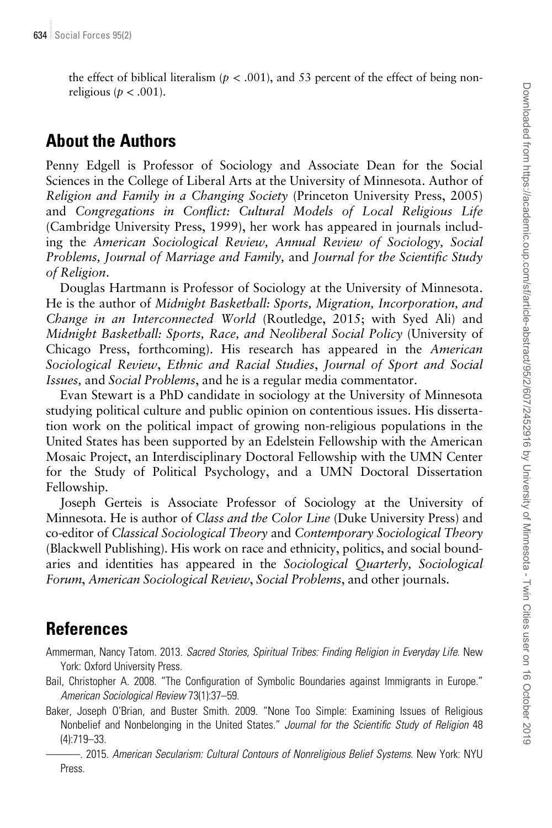<span id="page-27-0"></span>the effect of biblical literalism ( $p < .001$ ), and 53 percent of the effect of being nonreligious ( $p < .001$ ).

# About the Authors

Penny Edgell is Professor of Sociology and Associate Dean for the Social Sciences in the College of Liberal Arts at the University of Minnesota. Author of Religion and Family in a Changing Society (Princeton University Press, 2005) and Congregations in Conflict: Cultural Models of Local Religious Life (Cambridge University Press, 1999), her work has appeared in journals including the American Sociological Review, Annual Review of Sociology, Social Problems, Journal of Marriage and Family, and Journal for the Scientific Study of Religion.

Douglas Hartmann is Professor of Sociology at the University of Minnesota. He is the author of Midnight Basketball: Sports, Migration, Incorporation, and Change in an Interconnected World (Routledge, 2015; with Syed Ali) and Midnight Basketball: Sports, Race, and Neoliberal Social Policy (University of Chicago Press, forthcoming). His research has appeared in the American Sociological Review, Ethnic and Racial Studies, Journal of Sport and Social Issues, and Social Problems, and he is a regular media commentator.

Evan Stewart is a PhD candidate in sociology at the University of Minnesota studying political culture and public opinion on contentious issues. His dissertation work on the political impact of growing non-religious populations in the United States has been supported by an Edelstein Fellowship with the American Mosaic Project, an Interdisciplinary Doctoral Fellowship with the UMN Center for the Study of Political Psychology, and a UMN Doctoral Dissertation Fellowship.

Joseph Gerteis is Associate Professor of Sociology at the University of Minnesota. He is author of Class and the Color Line (Duke University Press) and co-editor of Classical Sociological Theory and Contemporary Sociological Theory (Blackwell Publishing). His work on race and ethnicity, politics, and social boundaries and identities has appeared in the Sociological Quarterly, Sociological Forum, American Sociological Review, Social Problems, and other journals.

# References

Ammerman, Nancy Tatom. 2013. Sacred Stories, Spiritual Tribes: Finding Religion in Everyday Life. New York: Oxford University Press.

- Bail, Christopher A. 2008. "The Configuration of Symbolic Boundaries against Immigrants in Europe." American Sociological Review 73(1):37–59.
- Baker, Joseph O'Brian, and Buster Smith. 2009. "None Too Simple: Examining Issues of Religious Nonbelief and Nonbelonging in the United States." Journal for the Scientific Study of Religion 48 (4):719–33.

———. 2015. American Secularism: Cultural Contours of Nonreligious Belief Systems. New York: NYU Press.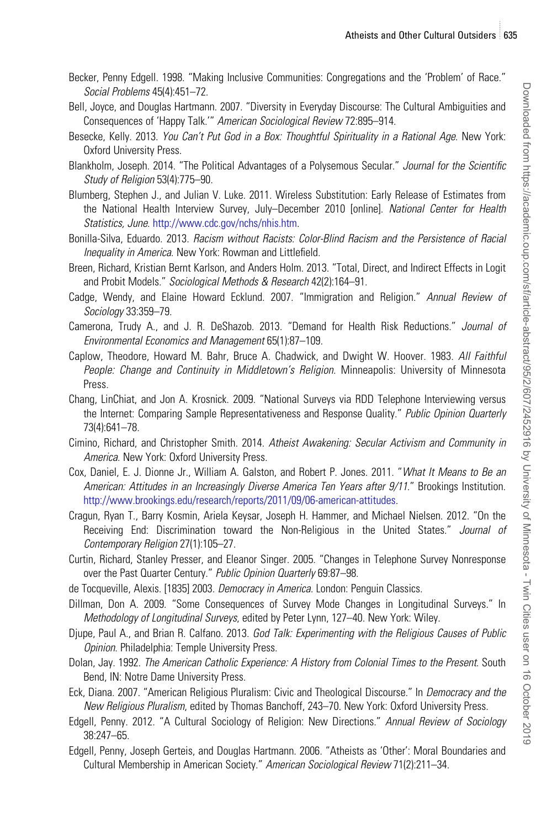- <span id="page-28-0"></span>Becker, Penny Edgell. 1998. "Making Inclusive Communities: Congregations and the 'Problem' of Race." Social Problems 45(4):451–72.
- Bell, Joyce, and Douglas Hartmann. 2007. "Diversity in Everyday Discourse: The Cultural Ambiguities and Consequences of 'Happy Talk.'" American Sociological Review 72:895–914.
- Besecke, Kelly. 2013. You Can't Put God in a Box: Thoughtful Spirituality in a Rational Age. New York: Oxford University Press.
- Blankholm, Joseph. 2014. "The Political Advantages of a Polysemous Secular." Journal for the Scientific Study of Religion 53(4):775–90.
- Blumberg, Stephen J., and Julian V. Luke. 2011. Wireless Substitution: Early Release of Estimates from the National Health Interview Survey, July–December 2010 [online]. National Center for Health Statistics, June. <http://www.cdc.gov/nchs/nhis.htm>.
- Bonilla-Silva, Eduardo. 2013. Racism without Racists: Color-Blind Racism and the Persistence of Racial Inequality in America. New York: Rowman and Littlefield.
- Breen, Richard, Kristian Bernt Karlson, and Anders Holm. 2013. "Total, Direct, and Indirect Effects in Logit and Probit Models." Sociological Methods & Research 42(2):164–91.
- Cadge, Wendy, and Elaine Howard Ecklund. 2007. "Immigration and Religion." Annual Review of Sociology 33:359–79.
- Camerona, Trudy A., and J. R. DeShazob. 2013. "Demand for Health Risk Reductions." Journal of Environmental Economics and Management 65(1):87–109.
- Caplow, Theodore, Howard M. Bahr, Bruce A. Chadwick, and Dwight W. Hoover. 1983. All Faithful People: Change and Continuity in Middletown's Religion. Minneapolis: University of Minnesota Press.
- Chang, LinChiat, and Jon A. Krosnick. 2009. "National Surveys via RDD Telephone Interviewing versus the Internet: Comparing Sample Representativeness and Response Quality." Public Opinion Quarterly 73(4):641–78.
- Cimino, Richard, and Christopher Smith. 2014. Atheist Awakening: Secular Activism and Community in America. New York: Oxford University Press.
- Cox, Daniel, E. J. Dionne Jr., William A. Galston, and Robert P. Jones. 2011. "What It Means to Be an American: Attitudes in an Increasingly Diverse America Ten Years after 9/11." Brookings Institution. [http://www.brookings.edu/research/reports/2011/09/06-american-attitudes.](http://www.brookings.edu/research/reports/2011/09/06-american-attitudes)
- Cragun, Ryan T., Barry Kosmin, Ariela Keysar, Joseph H. Hammer, and Michael Nielsen. 2012. "On the Receiving End: Discrimination toward the Non-Religious in the United States." Journal of Contemporary Religion 27(1):105–27.
- Curtin, Richard, Stanley Presser, and Eleanor Singer. 2005. "Changes in Telephone Survey Nonresponse over the Past Quarter Century." Public Opinion Quarterly 69:87-98.
- de Tocqueville, Alexis. [1835] 2003. Democracy in America. London: Penguin Classics.
- Dillman, Don A. 2009. "Some Consequences of Survey Mode Changes in Longitudinal Surveys." In Methodology of Longitudinal Surveys, edited by Peter Lynn, 127–40. New York: Wiley.
- Djupe, Paul A., and Brian R. Calfano. 2013. God Talk: Experimenting with the Religious Causes of Public Opinion. Philadelphia: Temple University Press.
- Dolan, Jay. 1992. The American Catholic Experience: A History from Colonial Times to the Present. South Bend, IN: Notre Dame University Press.
- Eck, Diana. 2007. "American Religious Pluralism: Civic and Theological Discourse." In Democracy and the New Religious Pluralism, edited by Thomas Banchoff, 243–70. New York: Oxford University Press.
- Edgell, Penny. 2012. "A Cultural Sociology of Religion: New Directions." Annual Review of Sociology 38:247–65.
- Edgell, Penny, Joseph Gerteis, and Douglas Hartmann. 2006. "Atheists as 'Other': Moral Boundaries and Cultural Membership in American Society." American Sociological Review 71(2):211–34.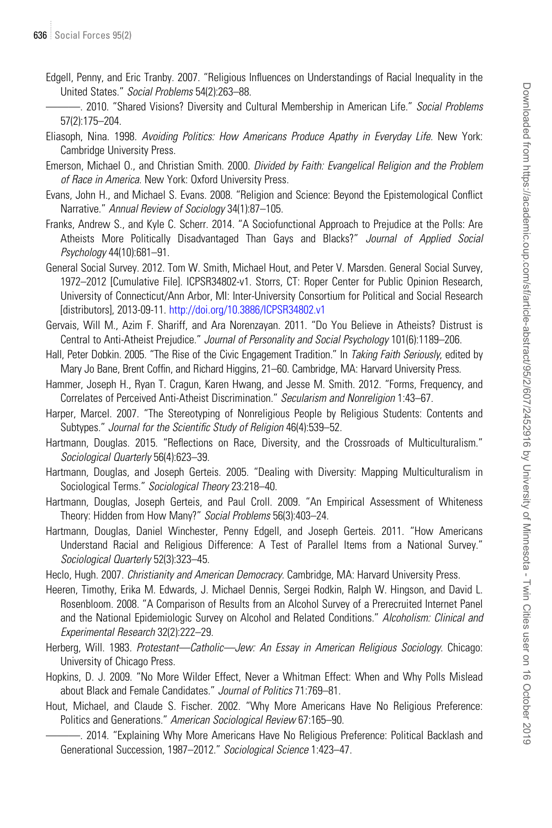<span id="page-29-0"></span>Edgell, Penny, and Eric Tranby. 2007. "Religious Influences on Understandings of Racial Inequality in the United States." Social Problems 54(2):263–88.

–. 2010. "Shared Visions? Diversity and Cultural Membership in American Life." Social Problems 57(2):175–204.

- Eliasoph, Nina. 1998. Avoiding Politics: How Americans Produce Apathy in Everyday Life. New York: Cambridge University Press.
- Emerson, Michael O., and Christian Smith. 2000. Divided by Faith: Evangelical Religion and the Problem of Race in America. New York: Oxford University Press.
- Evans, John H., and Michael S. Evans. 2008. "Religion and Science: Beyond the Epistemological Conflict Narrative." Annual Review of Sociology 34(1):87–105.
- Franks, Andrew S., and Kyle C. Scherr. 2014. "A Sociofunctional Approach to Prejudice at the Polls: Are Atheists More Politically Disadvantaged Than Gays and Blacks?" Journal of Applied Social Psychology 44(10):681–91.
- General Social Survey. 2012. Tom W. Smith, Michael Hout, and Peter V. Marsden. General Social Survey, 1972–2012 [Cumulative File]. ICPSR34802-v1. Storrs, CT: Roper Center for Public Opinion Research, University of Connecticut/Ann Arbor, MI: Inter-University Consortium for Political and Social Research [distributors], 2013-09-11. <http://doi.org/10.3886/ICPSR34802.v1>
- Gervais, Will M., Azim F. Shariff, and Ara Norenzayan. 2011. "Do You Believe in Atheists? Distrust is Central to Anti-Atheist Prejudice." Journal of Personality and Social Psychology 101(6):1189–206.
- Hall, Peter Dobkin. 2005. "The Rise of the Civic Engagement Tradition." In Taking Faith Seriously, edited by Mary Jo Bane, Brent Coffin, and Richard Higgins, 21–60. Cambridge, MA: Harvard University Press.
- Hammer, Joseph H., Ryan T. Cragun, Karen Hwang, and Jesse M. Smith. 2012. "Forms, Frequency, and Correlates of Perceived Anti-Atheist Discrimination." Secularism and Nonreligion 1:43–67.
- Harper, Marcel. 2007. "The Stereotyping of Nonreligious People by Religious Students: Contents and Subtypes." Journal for the Scientific Study of Religion 46(4):539–52.
- Hartmann, Douglas. 2015. "Reflections on Race, Diversity, and the Crossroads of Multiculturalism." Sociological Quarterly 56(4):623–39.
- Hartmann, Douglas, and Joseph Gerteis. 2005. "Dealing with Diversity: Mapping Multiculturalism in Sociological Terms." Sociological Theory 23:218–40.
- Hartmann, Douglas, Joseph Gerteis, and Paul Croll. 2009. "An Empirical Assessment of Whiteness Theory: Hidden from How Many?" Social Problems 56(3):403–24.
- Hartmann, Douglas, Daniel Winchester, Penny Edgell, and Joseph Gerteis. 2011. "How Americans Understand Racial and Religious Difference: A Test of Parallel Items from a National Survey." Sociological Quarterly 52(3):323–45.
- Heclo, Hugh. 2007. Christianity and American Democracy. Cambridge, MA: Harvard University Press.
- Heeren, Timothy, Erika M. Edwards, J. Michael Dennis, Sergei Rodkin, Ralph W. Hingson, and David L. Rosenbloom. 2008. "A Comparison of Results from an Alcohol Survey of a Prerecruited Internet Panel and the National Epidemiologic Survey on Alcohol and Related Conditions." Alcoholism: Clinical and Experimental Research 32(2):222–29.
- Herberg, Will. 1983. Protestant-Catholic-Jew: An Essay in American Religious Sociology. Chicago: University of Chicago Press.
- Hopkins, D. J. 2009. "No More Wilder Effect, Never a Whitman Effect: When and Why Polls Mislead about Black and Female Candidates." Journal of Politics 71:769–81.
- Hout, Michael, and Claude S. Fischer. 2002. "Why More Americans Have No Religious Preference: Politics and Generations." American Sociological Review 67:165–90.
	- ———. 2014. "Explaining Why More Americans Have No Religious Preference: Political Backlash and Generational Succession, 1987–2012." Sociological Science 1:423–47.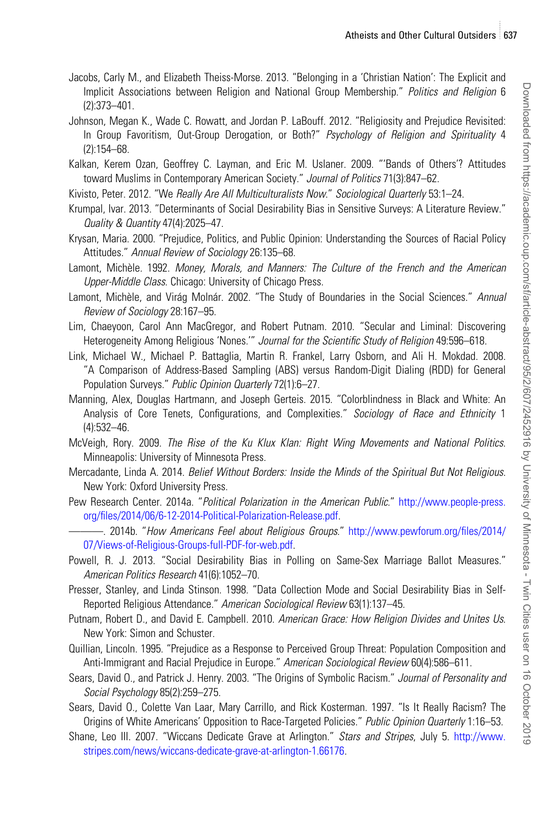- <span id="page-30-0"></span>Jacobs, Carly M., and Elizabeth Theiss-Morse. 2013. "Belonging in a 'Christian Nation': The Explicit and Implicit Associations between Religion and National Group Membership." Politics and Religion 6 (2):373–401.
- Johnson, Megan K., Wade C. Rowatt, and Jordan P. LaBouff. 2012. "Religiosity and Prejudice Revisited: In Group Favoritism, Out-Group Derogation, or Both?" Psychology of Religion and Spirituality 4 (2):154–68.
- Kalkan, Kerem Ozan, Geoffrey C. Layman, and Eric M. Uslaner. 2009. "'Bands of Others'? Attitudes toward Muslims in Contemporary American Society." Journal of Politics 71(3):847–62.
- Kivisto, Peter. 2012. "We Really Are All Multiculturalists Now." Sociological Quarterly 53:1-24.
- Krumpal, Ivar. 2013. "Determinants of Social Desirability Bias in Sensitive Surveys: A Literature Review." Quality & Quantity 47(4):2025–47.
- Krysan, Maria. 2000. "Prejudice, Politics, and Public Opinion: Understanding the Sources of Racial Policy Attitudes." Annual Review of Sociology 26:135–68.
- Lamont, Michèle. 1992. Money, Morals, and Manners: The Culture of the French and the American Upper-Middle Class. Chicago: University of Chicago Press.
- Lamont, Michèle, and Virág Molnár. 2002. "The Study of Boundaries in the Social Sciences." Annual Review of Sociology 28:167–95.
- Lim, Chaeyoon, Carol Ann MacGregor, and Robert Putnam. 2010. "Secular and Liminal: Discovering Heterogeneity Among Religious 'Nones.'" Journal for the Scientific Study of Religion 49:596–618.
- Link, Michael W., Michael P. Battaglia, Martin R. Frankel, Larry Osborn, and Ali H. Mokdad. 2008. "A Comparison of Address-Based Sampling (ABS) versus Random-Digit Dialing (RDD) for General Population Surveys." Public Opinion Quarterly 72(1):6–27.
- Manning, Alex, Douglas Hartmann, and Joseph Gerteis. 2015. "Colorblindness in Black and White: An Analysis of Core Tenets, Configurations, and Complexities." Sociology of Race and Ethnicity 1 (4):532–46.
- McVeigh, Rory. 2009. The Rise of the Ku Klux Klan: Right Wing Movements and National Politics. Minneapolis: University of Minnesota Press.
- Mercadante, Linda A. 2014. Belief Without Borders: Inside the Minds of the Spiritual But Not Religious. New York: Oxford University Press.
- Pew Research Center. 2014a. "Political Polarization in the American Public." [http://www.people-press.](http://www.people-press.org/files/2014/06/6-12-2014-Political-Polarization-Release.pdf) org/fi[les/2014/06/6-12-2014-Political-Polarization-Release.pdf.](http://www.people-press.org/files/2014/06/6-12-2014-Political-Polarization-Release.pdf)
- -. 2014b. "How Americans Feel about Religious Groups." [http://www.pewforum.org/](http://www.pewforum.org/files/2014/07/Views-of-Religious-Groups-full-PDF-for-web.pdf)files/2014/ [07/Views-of-Religious-Groups-full-PDF-for-web.pdf](http://www.pewforum.org/files/2014/07/Views-of-Religious-Groups-full-PDF-for-web.pdf).
- Powell, R. J. 2013. "Social Desirability Bias in Polling on Same-Sex Marriage Ballot Measures." American Politics Research 41(6):1052–70.
- Presser, Stanley, and Linda Stinson. 1998. "Data Collection Mode and Social Desirability Bias in Self-Reported Religious Attendance." American Sociological Review 63(1):137–45.
- Putnam, Robert D., and David E. Campbell. 2010. American Grace: How Religion Divides and Unites Us. New York: Simon and Schuster.
- Quillian, Lincoln. 1995. "Prejudice as a Response to Perceived Group Threat: Population Composition and Anti-Immigrant and Racial Prejudice in Europe." American Sociological Review 60(4):586-611.
- Sears, David O., and Patrick J. Henry. 2003. "The Origins of Symbolic Racism." Journal of Personality and Social Psychology 85(2):259–275.
- Sears, David O., Colette Van Laar, Mary Carrillo, and Rick Kosterman. 1997. "Is It Really Racism? The Origins of White Americans' Opposition to Race-Targeted Policies." Public Opinion Quarterly 1:16–53.
- Shane, Leo III. 2007. "Wiccans Dedicate Grave at Arlington." Stars and Stripes, July 5. [http://www.](http://www.stripes.com/news/wiccans-dedicate-grave-at-arlington-1.66176) [stripes.com/news/wiccans-dedicate-grave-at-arlington-1.66176.](http://www.stripes.com/news/wiccans-dedicate-grave-at-arlington-1.66176)